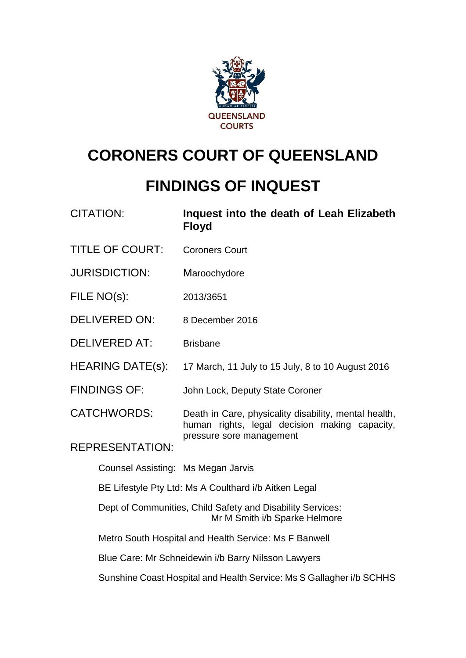

# **CORONERS COURT OF QUEENSLAND**

## **FINDINGS OF INQUEST**

| <b>CITATION:</b>                                                                            | Inquest into the death of Leah Elizabeth<br><b>Floyd</b>                                                                           |  |  |
|---------------------------------------------------------------------------------------------|------------------------------------------------------------------------------------------------------------------------------------|--|--|
| <b>TITLE OF COURT:</b>                                                                      | <b>Coroners Court</b>                                                                                                              |  |  |
| <b>JURISDICTION:</b>                                                                        | Maroochydore                                                                                                                       |  |  |
| FILE NO(s):                                                                                 | 2013/3651                                                                                                                          |  |  |
| <b>DELIVERED ON:</b>                                                                        | 8 December 2016                                                                                                                    |  |  |
| <b>DELIVERED AT:</b>                                                                        | <b>Brisbane</b>                                                                                                                    |  |  |
| <b>HEARING DATE(s):</b>                                                                     | 17 March, 11 July to 15 July, 8 to 10 August 2016                                                                                  |  |  |
| <b>FINDINGS OF:</b>                                                                         | John Lock, Deputy State Coroner                                                                                                    |  |  |
| <b>CATCHWORDS:</b>                                                                          | Death in Care, physicality disability, mental health,<br>human rights, legal decision making capacity,<br>pressure sore management |  |  |
| <b>REPRESENTATION:</b>                                                                      |                                                                                                                                    |  |  |
| Counsel Assisting: Ms Megan Jarvis                                                          |                                                                                                                                    |  |  |
| BE Lifestyle Pty Ltd: Ms A Coulthard i/b Aitken Legal                                       |                                                                                                                                    |  |  |
| Dept of Communities, Child Safety and Disability Services:<br>Mr M Smith i/b Sparke Helmore |                                                                                                                                    |  |  |
|                                                                                             | Metro South Hospital and Health Service: Ms F Banwell                                                                              |  |  |
|                                                                                             | Blue Care: Mr Schneidewin i/b Barry Nilsson Lawyers                                                                                |  |  |

Sunshine Coast Hospital and Health Service: Ms S Gallagher i/b SCHHS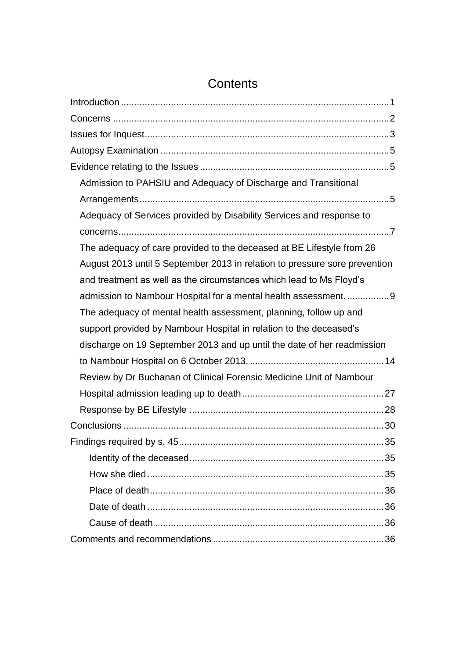| Admission to PAHSIU and Adequacy of Discharge and Transitional             |
|----------------------------------------------------------------------------|
|                                                                            |
| Adequacy of Services provided by Disability Services and response to       |
|                                                                            |
| The adequacy of care provided to the deceased at BE Lifestyle from 26      |
| August 2013 until 5 September 2013 in relation to pressure sore prevention |
| and treatment as well as the circumstances which lead to Ms Floyd's        |
| admission to Nambour Hospital for a mental health assessment9              |
| The adequacy of mental health assessment, planning, follow up and          |
| support provided by Nambour Hospital in relation to the deceased's         |
| discharge on 19 September 2013 and up until the date of her readmission    |
|                                                                            |
| Review by Dr Buchanan of Clinical Forensic Medicine Unit of Nambour        |
|                                                                            |
|                                                                            |
|                                                                            |
| 35                                                                         |
|                                                                            |
|                                                                            |
|                                                                            |
|                                                                            |
|                                                                            |
|                                                                            |

## **Contents**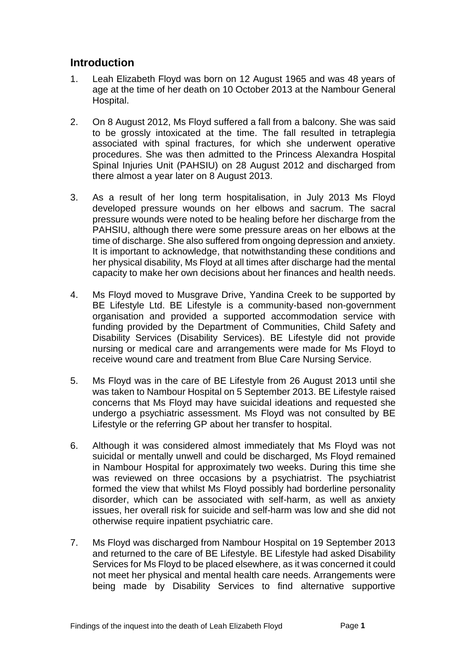## <span id="page-2-0"></span>**Introduction**

- 1. Leah Elizabeth Floyd was born on 12 August 1965 and was 48 years of age at the time of her death on 10 October 2013 at the Nambour General Hospital.
- 2. On 8 August 2012, Ms Floyd suffered a fall from a balcony. She was said to be grossly intoxicated at the time. The fall resulted in tetraplegia associated with spinal fractures, for which she underwent operative procedures. She was then admitted to the Princess Alexandra Hospital Spinal Injuries Unit (PAHSIU) on 28 August 2012 and discharged from there almost a year later on 8 August 2013.
- 3. As a result of her long term hospitalisation, in July 2013 Ms Floyd developed pressure wounds on her elbows and sacrum. The sacral pressure wounds were noted to be healing before her discharge from the PAHSIU, although there were some pressure areas on her elbows at the time of discharge. She also suffered from ongoing depression and anxiety. It is important to acknowledge, that notwithstanding these conditions and her physical disability, Ms Floyd at all times after discharge had the mental capacity to make her own decisions about her finances and health needs.
- 4. Ms Floyd moved to Musgrave Drive, Yandina Creek to be supported by BE Lifestyle Ltd. BE Lifestyle is a community-based non-government organisation and provided a supported accommodation service with funding provided by the Department of Communities, Child Safety and Disability Services (Disability Services). BE Lifestyle did not provide nursing or medical care and arrangements were made for Ms Floyd to receive wound care and treatment from Blue Care Nursing Service.
- 5. Ms Floyd was in the care of BE Lifestyle from 26 August 2013 until she was taken to Nambour Hospital on 5 September 2013. BE Lifestyle raised concerns that Ms Floyd may have suicidal ideations and requested she undergo a psychiatric assessment. Ms Floyd was not consulted by BE Lifestyle or the referring GP about her transfer to hospital.
- 6. Although it was considered almost immediately that Ms Floyd was not suicidal or mentally unwell and could be discharged, Ms Floyd remained in Nambour Hospital for approximately two weeks. During this time she was reviewed on three occasions by a psychiatrist. The psychiatrist formed the view that whilst Ms Floyd possibly had borderline personality disorder, which can be associated with self-harm, as well as anxiety issues, her overall risk for suicide and self-harm was low and she did not otherwise require inpatient psychiatric care.
- 7. Ms Floyd was discharged from Nambour Hospital on 19 September 2013 and returned to the care of BE Lifestyle. BE Lifestyle had asked Disability Services for Ms Floyd to be placed elsewhere, as it was concerned it could not meet her physical and mental health care needs. Arrangements were being made by Disability Services to find alternative supportive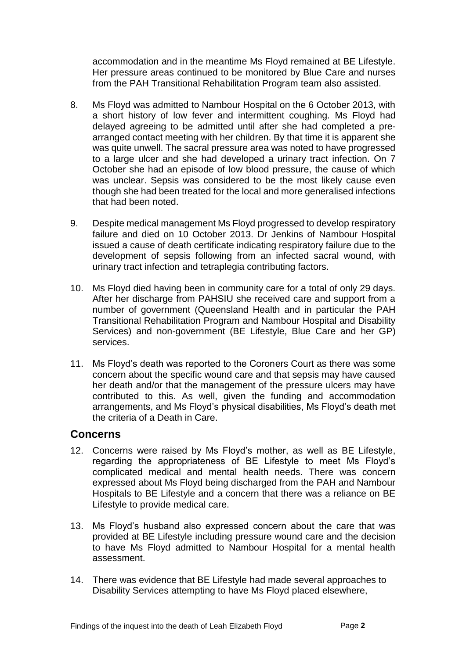accommodation and in the meantime Ms Floyd remained at BE Lifestyle. Her pressure areas continued to be monitored by Blue Care and nurses from the PAH Transitional Rehabilitation Program team also assisted.

- 8. Ms Floyd was admitted to Nambour Hospital on the 6 October 2013, with a short history of low fever and intermittent coughing. Ms Floyd had delayed agreeing to be admitted until after she had completed a prearranged contact meeting with her children. By that time it is apparent she was quite unwell. The sacral pressure area was noted to have progressed to a large ulcer and she had developed a urinary tract infection. On 7 October she had an episode of low blood pressure, the cause of which was unclear. Sepsis was considered to be the most likely cause even though she had been treated for the local and more generalised infections that had been noted.
- 9. Despite medical management Ms Floyd progressed to develop respiratory failure and died on 10 October 2013. Dr Jenkins of Nambour Hospital issued a cause of death certificate indicating respiratory failure due to the development of sepsis following from an infected sacral wound, with urinary tract infection and tetraplegia contributing factors.
- 10. Ms Floyd died having been in community care for a total of only 29 days. After her discharge from PAHSIU she received care and support from a number of government (Queensland Health and in particular the PAH Transitional Rehabilitation Program and Nambour Hospital and Disability Services) and non-government (BE Lifestyle, Blue Care and her GP) services.
- 11. Ms Floyd's death was reported to the Coroners Court as there was some concern about the specific wound care and that sepsis may have caused her death and/or that the management of the pressure ulcers may have contributed to this. As well, given the funding and accommodation arrangements, and Ms Floyd's physical disabilities, Ms Floyd's death met the criteria of a Death in Care.

#### <span id="page-3-0"></span>**Concerns**

- 12. Concerns were raised by Ms Floyd's mother, as well as BE Lifestyle, regarding the appropriateness of BE Lifestyle to meet Ms Floyd's complicated medical and mental health needs. There was concern expressed about Ms Floyd being discharged from the PAH and Nambour Hospitals to BE Lifestyle and a concern that there was a reliance on BE Lifestyle to provide medical care.
- 13. Ms Floyd's husband also expressed concern about the care that was provided at BE Lifestyle including pressure wound care and the decision to have Ms Floyd admitted to Nambour Hospital for a mental health assessment.
- 14. There was evidence that BE Lifestyle had made several approaches to Disability Services attempting to have Ms Floyd placed elsewhere,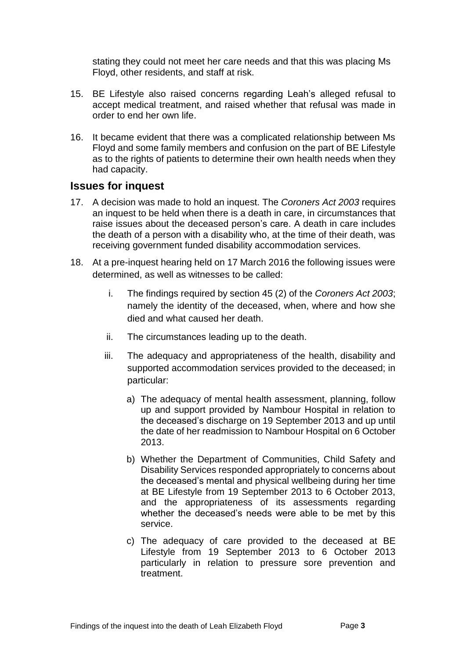stating they could not meet her care needs and that this was placing Ms Floyd, other residents, and staff at risk.

- 15. BE Lifestyle also raised concerns regarding Leah's alleged refusal to accept medical treatment, and raised whether that refusal was made in order to end her own life.
- 16. It became evident that there was a complicated relationship between Ms Floyd and some family members and confusion on the part of BE Lifestyle as to the rights of patients to determine their own health needs when they had capacity.

### <span id="page-4-0"></span>**Issues for inquest**

- 17. A decision was made to hold an inquest. The *Coroners Act 2003* requires an inquest to be held when there is a death in care, in circumstances that raise issues about the deceased person's care. A death in care includes the death of a person with a disability who, at the time of their death, was receiving government funded disability accommodation services.
- 18. At a pre-inquest hearing held on 17 March 2016 the following issues were determined, as well as witnesses to be called:
	- i. The findings required by section 45 (2) of the *Coroners Act 2003*; namely the identity of the deceased, when, where and how she died and what caused her death.
	- ii. The circumstances leading up to the death.
	- iii. The adequacy and appropriateness of the health, disability and supported accommodation services provided to the deceased; in particular:
		- a) The adequacy of mental health assessment, planning, follow up and support provided by Nambour Hospital in relation to the deceased's discharge on 19 September 2013 and up until the date of her readmission to Nambour Hospital on 6 October 2013.
		- b) Whether the Department of Communities, Child Safety and Disability Services responded appropriately to concerns about the deceased's mental and physical wellbeing during her time at BE Lifestyle from 19 September 2013 to 6 October 2013, and the appropriateness of its assessments regarding whether the deceased's needs were able to be met by this service.
		- c) The adequacy of care provided to the deceased at BE Lifestyle from 19 September 2013 to 6 October 2013 particularly in relation to pressure sore prevention and treatment.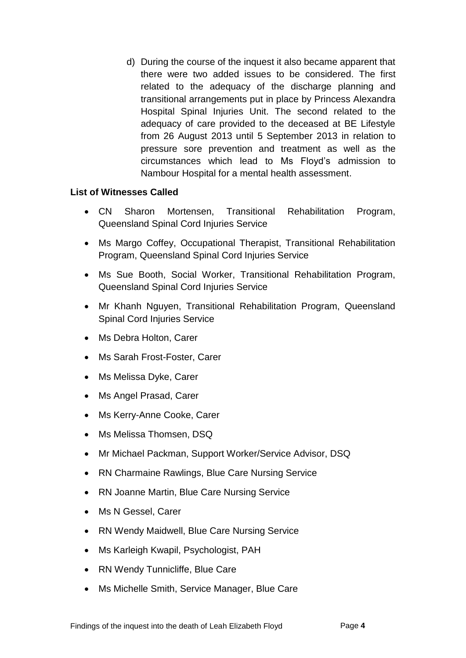d) During the course of the inquest it also became apparent that there were two added issues to be considered. The first related to the adequacy of the discharge planning and transitional arrangements put in place by Princess Alexandra Hospital Spinal Injuries Unit. The second related to the adequacy of care provided to the deceased at BE Lifestyle from 26 August 2013 until 5 September 2013 in relation to pressure sore prevention and treatment as well as the circumstances which lead to Ms Floyd's admission to Nambour Hospital for a mental health assessment.

#### **List of Witnesses Called**

- CN Sharon Mortensen, Transitional Rehabilitation Program, Queensland Spinal Cord Injuries Service
- Ms Margo Coffey, Occupational Therapist, Transitional Rehabilitation Program, Queensland Spinal Cord Injuries Service
- Ms Sue Booth, Social Worker, Transitional Rehabilitation Program, Queensland Spinal Cord Injuries Service
- Mr Khanh Nguyen, Transitional Rehabilitation Program, Queensland Spinal Cord Injuries Service
- Ms Debra Holton, Carer
- Ms Sarah Frost-Foster, Carer
- Ms Melissa Dyke, Carer
- Ms Angel Prasad, Carer
- Ms Kerry-Anne Cooke, Carer
- Ms Melissa Thomsen, DSQ
- Mr Michael Packman, Support Worker/Service Advisor, DSQ
- RN Charmaine Rawlings, Blue Care Nursing Service
- RN Joanne Martin, Blue Care Nursing Service
- Ms N Gessel, Carer
- RN Wendy Maidwell, Blue Care Nursing Service
- Ms Karleigh Kwapil, Psychologist, PAH
- RN Wendy Tunnicliffe, Blue Care
- Ms Michelle Smith, Service Manager, Blue Care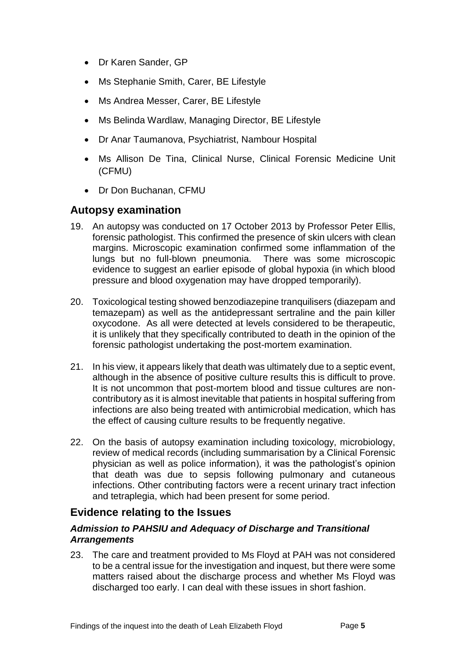- Dr Karen Sander, GP
- Ms Stephanie Smith, Carer, BE Lifestyle
- Ms Andrea Messer, Carer, BE Lifestyle
- Ms Belinda Wardlaw, Managing Director, BE Lifestyle
- Dr Anar Taumanova, Psychiatrist, Nambour Hospital
- Ms Allison De Tina, Clinical Nurse, Clinical Forensic Medicine Unit (CFMU)
- Dr Don Buchanan, CFMU

## <span id="page-6-0"></span>**Autopsy examination**

- 19. An autopsy was conducted on 17 October 2013 by Professor Peter Ellis, forensic pathologist. This confirmed the presence of skin ulcers with clean margins. Microscopic examination confirmed some inflammation of the lungs but no full-blown pneumonia. There was some microscopic evidence to suggest an earlier episode of global hypoxia (in which blood pressure and blood oxygenation may have dropped temporarily).
- 20. Toxicological testing showed benzodiazepine tranquilisers (diazepam and temazepam) as well as the antidepressant sertraline and the pain killer oxycodone. As all were detected at levels considered to be therapeutic, it is unlikely that they specifically contributed to death in the opinion of the forensic pathologist undertaking the post-mortem examination.
- 21. In his view, it appears likely that death was ultimately due to a septic event, although in the absence of positive culture results this is difficult to prove. It is not uncommon that post-mortem blood and tissue cultures are noncontributory as it is almost inevitable that patients in hospital suffering from infections are also being treated with antimicrobial medication, which has the effect of causing culture results to be frequently negative.
- 22. On the basis of autopsy examination including toxicology, microbiology, review of medical records (including summarisation by a Clinical Forensic physician as well as police information), it was the pathologist's opinion that death was due to sepsis following pulmonary and cutaneous infections. Other contributing factors were a recent urinary tract infection and tetraplegia, which had been present for some period.

## <span id="page-6-1"></span>**Evidence relating to the Issues**

#### <span id="page-6-2"></span>*Admission to PAHSIU and Adequacy of Discharge and Transitional Arrangements*

23. The care and treatment provided to Ms Floyd at PAH was not considered to be a central issue for the investigation and inquest, but there were some matters raised about the discharge process and whether Ms Floyd was discharged too early. I can deal with these issues in short fashion.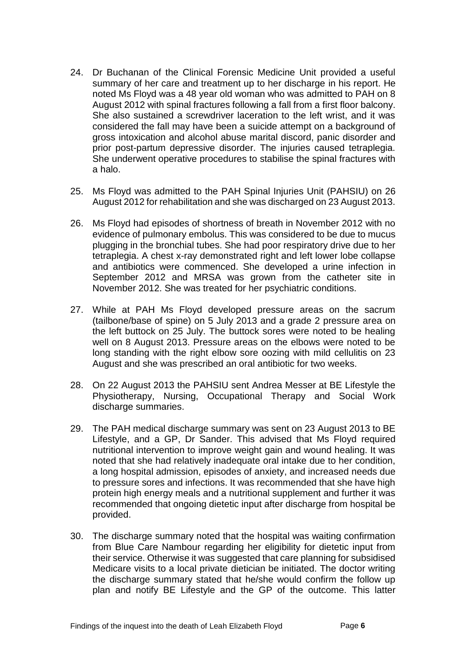- 24. Dr Buchanan of the Clinical Forensic Medicine Unit provided a useful summary of her care and treatment up to her discharge in his report. He noted Ms Floyd was a 48 year old woman who was admitted to PAH on 8 August 2012 with spinal fractures following a fall from a first floor balcony. She also sustained a screwdriver laceration to the left wrist, and it was considered the fall may have been a suicide attempt on a background of gross intoxication and alcohol abuse marital discord, panic disorder and prior post-partum depressive disorder. The injuries caused tetraplegia. She underwent operative procedures to stabilise the spinal fractures with a halo.
- 25. Ms Floyd was admitted to the PAH Spinal Injuries Unit (PAHSIU) on 26 August 2012 for rehabilitation and she was discharged on 23 August 2013.
- 26. Ms Floyd had episodes of shortness of breath in November 2012 with no evidence of pulmonary embolus. This was considered to be due to mucus plugging in the bronchial tubes. She had poor respiratory drive due to her tetraplegia. A chest x-ray demonstrated right and left lower lobe collapse and antibiotics were commenced. She developed a urine infection in September 2012 and MRSA was grown from the catheter site in November 2012. She was treated for her psychiatric conditions.
- 27. While at PAH Ms Floyd developed pressure areas on the sacrum (tailbone/base of spine) on 5 July 2013 and a grade 2 pressure area on the left buttock on 25 July. The buttock sores were noted to be healing well on 8 August 2013. Pressure areas on the elbows were noted to be long standing with the right elbow sore oozing with mild cellulitis on 23 August and she was prescribed an oral antibiotic for two weeks.
- 28. On 22 August 2013 the PAHSIU sent Andrea Messer at BE Lifestyle the Physiotherapy, Nursing, Occupational Therapy and Social Work discharge summaries.
- 29. The PAH medical discharge summary was sent on 23 August 2013 to BE Lifestyle, and a GP, Dr Sander. This advised that Ms Floyd required nutritional intervention to improve weight gain and wound healing. It was noted that she had relatively inadequate oral intake due to her condition, a long hospital admission, episodes of anxiety, and increased needs due to pressure sores and infections. It was recommended that she have high protein high energy meals and a nutritional supplement and further it was recommended that ongoing dietetic input after discharge from hospital be provided.
- 30. The discharge summary noted that the hospital was waiting confirmation from Blue Care Nambour regarding her eligibility for dietetic input from their service. Otherwise it was suggested that care planning for subsidised Medicare visits to a local private dietician be initiated. The doctor writing the discharge summary stated that he/she would confirm the follow up plan and notify BE Lifestyle and the GP of the outcome. This latter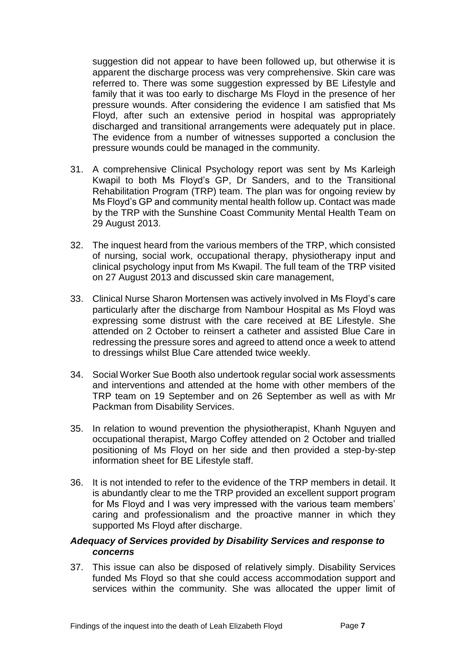suggestion did not appear to have been followed up, but otherwise it is apparent the discharge process was very comprehensive. Skin care was referred to. There was some suggestion expressed by BE Lifestyle and family that it was too early to discharge Ms Floyd in the presence of her pressure wounds. After considering the evidence I am satisfied that Ms Floyd, after such an extensive period in hospital was appropriately discharged and transitional arrangements were adequately put in place. The evidence from a number of witnesses supported a conclusion the pressure wounds could be managed in the community.

- 31. A comprehensive Clinical Psychology report was sent by Ms Karleigh Kwapil to both Ms Floyd's GP, Dr Sanders, and to the Transitional Rehabilitation Program (TRP) team. The plan was for ongoing review by Ms Floyd's GP and community mental health follow up. Contact was made by the TRP with the Sunshine Coast Community Mental Health Team on 29 August 2013.
- 32. The inquest heard from the various members of the TRP, which consisted of nursing, social work, occupational therapy, physiotherapy input and clinical psychology input from Ms Kwapil. The full team of the TRP visited on 27 August 2013 and discussed skin care management,
- 33. Clinical Nurse Sharon Mortensen was actively involved in Ms Floyd's care particularly after the discharge from Nambour Hospital as Ms Floyd was expressing some distrust with the care received at BE Lifestyle. She attended on 2 October to reinsert a catheter and assisted Blue Care in redressing the pressure sores and agreed to attend once a week to attend to dressings whilst Blue Care attended twice weekly.
- 34. Social Worker Sue Booth also undertook regular social work assessments and interventions and attended at the home with other members of the TRP team on 19 September and on 26 September as well as with Mr Packman from Disability Services.
- 35. In relation to wound prevention the physiotherapist, Khanh Nguyen and occupational therapist, Margo Coffey attended on 2 October and trialled positioning of Ms Floyd on her side and then provided a step-by-step information sheet for BE Lifestyle staff.
- 36. It is not intended to refer to the evidence of the TRP members in detail. It is abundantly clear to me the TRP provided an excellent support program for Ms Floyd and I was very impressed with the various team members' caring and professionalism and the proactive manner in which they supported Ms Floyd after discharge.

#### <span id="page-8-0"></span>*Adequacy of Services provided by Disability Services and response to concerns*

37. This issue can also be disposed of relatively simply. Disability Services funded Ms Floyd so that she could access accommodation support and services within the community. She was allocated the upper limit of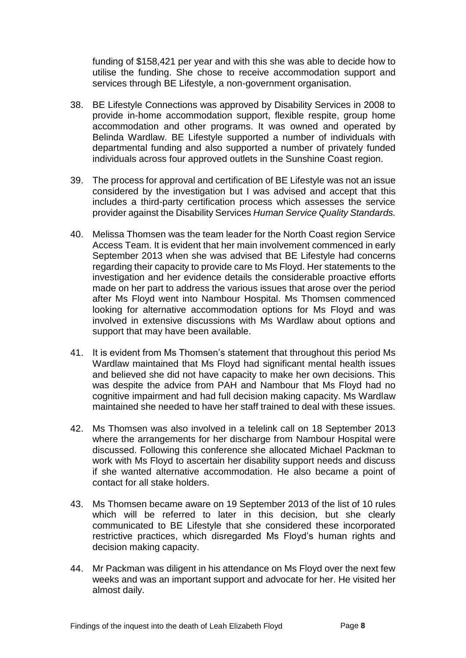funding of \$158,421 per year and with this she was able to decide how to utilise the funding. She chose to receive accommodation support and services through BE Lifestyle, a non-government organisation.

- 38. BE Lifestyle Connections was approved by Disability Services in 2008 to provide in-home accommodation support, flexible respite, group home accommodation and other programs. It was owned and operated by Belinda Wardlaw. BE Lifestyle supported a number of individuals with departmental funding and also supported a number of privately funded individuals across four approved outlets in the Sunshine Coast region.
- 39. The process for approval and certification of BE Lifestyle was not an issue considered by the investigation but I was advised and accept that this includes a third-party certification process which assesses the service provider against the Disability Services *Human Service Quality Standards.*
- 40. Melissa Thomsen was the team leader for the North Coast region Service Access Team. It is evident that her main involvement commenced in early September 2013 when she was advised that BE Lifestyle had concerns regarding their capacity to provide care to Ms Floyd. Her statements to the investigation and her evidence details the considerable proactive efforts made on her part to address the various issues that arose over the period after Ms Floyd went into Nambour Hospital. Ms Thomsen commenced looking for alternative accommodation options for Ms Floyd and was involved in extensive discussions with Ms Wardlaw about options and support that may have been available.
- 41. It is evident from Ms Thomsen's statement that throughout this period Ms Wardlaw maintained that Ms Floyd had significant mental health issues and believed she did not have capacity to make her own decisions. This was despite the advice from PAH and Nambour that Ms Floyd had no cognitive impairment and had full decision making capacity. Ms Wardlaw maintained she needed to have her staff trained to deal with these issues.
- 42. Ms Thomsen was also involved in a telelink call on 18 September 2013 where the arrangements for her discharge from Nambour Hospital were discussed. Following this conference she allocated Michael Packman to work with Ms Floyd to ascertain her disability support needs and discuss if she wanted alternative accommodation. He also became a point of contact for all stake holders.
- 43. Ms Thomsen became aware on 19 September 2013 of the list of 10 rules which will be referred to later in this decision, but she clearly communicated to BE Lifestyle that she considered these incorporated restrictive practices, which disregarded Ms Floyd's human rights and decision making capacity.
- 44. Mr Packman was diligent in his attendance on Ms Floyd over the next few weeks and was an important support and advocate for her. He visited her almost daily.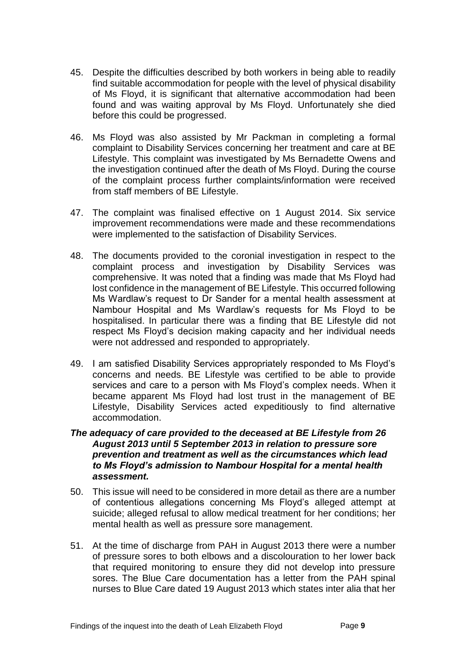- 45. Despite the difficulties described by both workers in being able to readily find suitable accommodation for people with the level of physical disability of Ms Floyd, it is significant that alternative accommodation had been found and was waiting approval by Ms Floyd. Unfortunately she died before this could be progressed.
- 46. Ms Floyd was also assisted by Mr Packman in completing a formal complaint to Disability Services concerning her treatment and care at BE Lifestyle. This complaint was investigated by Ms Bernadette Owens and the investigation continued after the death of Ms Floyd. During the course of the complaint process further complaints/information were received from staff members of BE Lifestyle.
- 47. The complaint was finalised effective on 1 August 2014. Six service improvement recommendations were made and these recommendations were implemented to the satisfaction of Disability Services.
- 48. The documents provided to the coronial investigation in respect to the complaint process and investigation by Disability Services was comprehensive. It was noted that a finding was made that Ms Floyd had lost confidence in the management of BE Lifestyle. This occurred following Ms Wardlaw's request to Dr Sander for a mental health assessment at Nambour Hospital and Ms Wardlaw's requests for Ms Floyd to be hospitalised. In particular there was a finding that BE Lifestyle did not respect Ms Floyd's decision making capacity and her individual needs were not addressed and responded to appropriately.
- 49. I am satisfied Disability Services appropriately responded to Ms Floyd's concerns and needs. BE Lifestyle was certified to be able to provide services and care to a person with Ms Floyd's complex needs. When it became apparent Ms Floyd had lost trust in the management of BE Lifestyle, Disability Services acted expeditiously to find alternative accommodation.

#### <span id="page-10-0"></span>*The adequacy of care provided to the deceased at BE Lifestyle from 26 August 2013 until 5 September 2013 in relation to pressure sore prevention and treatment as well as the circumstances which lead to Ms Floyd's admission to Nambour Hospital for a mental health assessment.*

- 50. This issue will need to be considered in more detail as there are a number of contentious allegations concerning Ms Floyd's alleged attempt at suicide; alleged refusal to allow medical treatment for her conditions; her mental health as well as pressure sore management.
- 51. At the time of discharge from PAH in August 2013 there were a number of pressure sores to both elbows and a discolouration to her lower back that required monitoring to ensure they did not develop into pressure sores. The Blue Care documentation has a letter from the PAH spinal nurses to Blue Care dated 19 August 2013 which states inter alia that her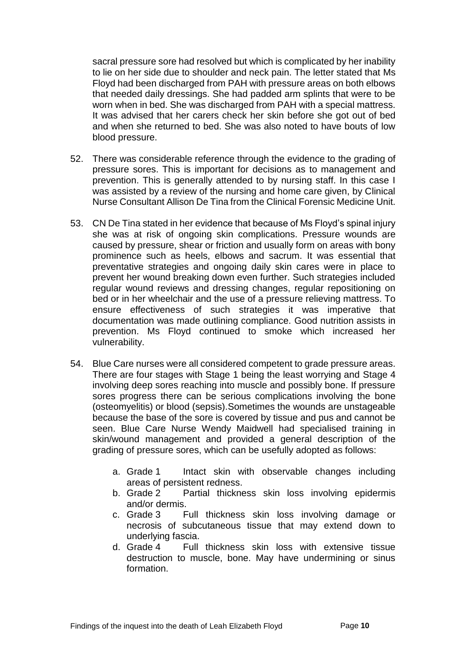sacral pressure sore had resolved but which is complicated by her inability to lie on her side due to shoulder and neck pain. The letter stated that Ms Floyd had been discharged from PAH with pressure areas on both elbows that needed daily dressings. She had padded arm splints that were to be worn when in bed. She was discharged from PAH with a special mattress. It was advised that her carers check her skin before she got out of bed and when she returned to bed. She was also noted to have bouts of low blood pressure.

- 52. There was considerable reference through the evidence to the grading of pressure sores. This is important for decisions as to management and prevention. This is generally attended to by nursing staff. In this case I was assisted by a review of the nursing and home care given, by Clinical Nurse Consultant Allison De Tina from the Clinical Forensic Medicine Unit.
- 53. CN De Tina stated in her evidence that because of Ms Floyd's spinal injury she was at risk of ongoing skin complications. Pressure wounds are caused by pressure, shear or friction and usually form on areas with bony prominence such as heels, elbows and sacrum. It was essential that preventative strategies and ongoing daily skin cares were in place to prevent her wound breaking down even further. Such strategies included regular wound reviews and dressing changes, regular repositioning on bed or in her wheelchair and the use of a pressure relieving mattress. To ensure effectiveness of such strategies it was imperative that documentation was made outlining compliance. Good nutrition assists in prevention. Ms Floyd continued to smoke which increased her vulnerability.
- 54. Blue Care nurses were all considered competent to grade pressure areas. There are four stages with Stage 1 being the least worrying and Stage 4 involving deep sores reaching into muscle and possibly bone. If pressure sores progress there can be serious complications involving the bone (osteomyelitis) or blood (sepsis).Sometimes the wounds are unstageable because the base of the sore is covered by tissue and pus and cannot be seen. Blue Care Nurse Wendy Maidwell had specialised training in skin/wound management and provided a general description of the grading of pressure sores, which can be usefully adopted as follows:
	- a. Grade 1 Intact skin with observable changes including areas of persistent redness.
	- b. Grade 2 Partial thickness skin loss involving epidermis and/or dermis.
	- c. Grade 3 Full thickness skin loss involving damage or necrosis of subcutaneous tissue that may extend down to underlying fascia.
	- d. Grade 4 Full thickness skin loss with extensive tissue destruction to muscle, bone. May have undermining or sinus formation.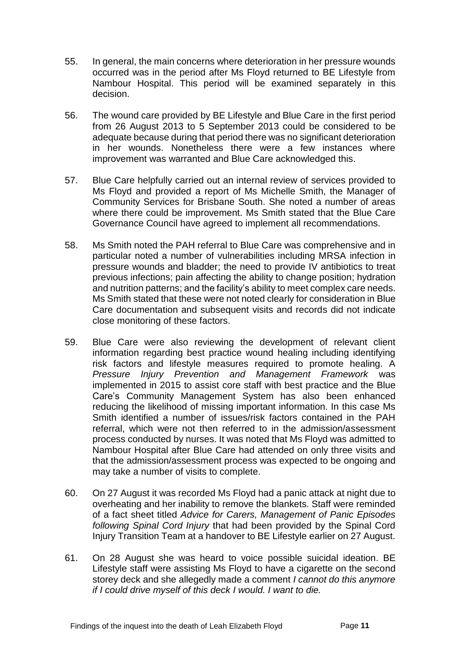- 55. In general, the main concerns where deterioration in her pressure wounds occurred was in the period after Ms Floyd returned to BE Lifestyle from Nambour Hospital. This period will be examined separately in this decision.
- 56. The wound care provided by BE Lifestyle and Blue Care in the first period from 26 August 2013 to 5 September 2013 could be considered to be adequate because during that period there was no significant deterioration in her wounds. Nonetheless there were a few instances where improvement was warranted and Blue Care acknowledged this.
- 57. Blue Care helpfully carried out an internal review of services provided to Ms Floyd and provided a report of Ms Michelle Smith, the Manager of Community Services for Brisbane South. She noted a number of areas where there could be improvement. Ms Smith stated that the Blue Care Governance Council have agreed to implement all recommendations.
- 58. Ms Smith noted the PAH referral to Blue Care was comprehensive and in particular noted a number of vulnerabilities including MRSA infection in pressure wounds and bladder; the need to provide IV antibiotics to treat previous infections; pain affecting the ability to change position; hydration and nutrition patterns; and the facility's ability to meet complex care needs. Ms Smith stated that these were not noted clearly for consideration in Blue Care documentation and subsequent visits and records did not indicate close monitoring of these factors.
- 59. Blue Care were also reviewing the development of relevant client information regarding best practice wound healing including identifying risk factors and lifestyle measures required to promote healing. A *Pressure Injury Prevention and Management Framework* was implemented in 2015 to assist core staff with best practice and the Blue Care's Community Management System has also been enhanced reducing the likelihood of missing important information. In this case Ms Smith identified a number of issues/risk factors contained in the PAH referral, which were not then referred to in the admission/assessment process conducted by nurses. It was noted that Ms Floyd was admitted to Nambour Hospital after Blue Care had attended on only three visits and that the admission/assessment process was expected to be ongoing and may take a number of visits to complete.
- 60. On 27 August it was recorded Ms Floyd had a panic attack at night due to overheating and her inability to remove the blankets. Staff were reminded of a fact sheet titled *Advice for Carers, Management of Panic Episodes following Spinal Cord Injury* that had been provided by the Spinal Cord Injury Transition Team at a handover to BE Lifestyle earlier on 27 August.
- 61. On 28 August she was heard to voice possible suicidal ideation. BE Lifestyle staff were assisting Ms Floyd to have a cigarette on the second storey deck and she allegedly made a comment *I cannot do this anymore if I could drive myself of this deck I would. I want to die.*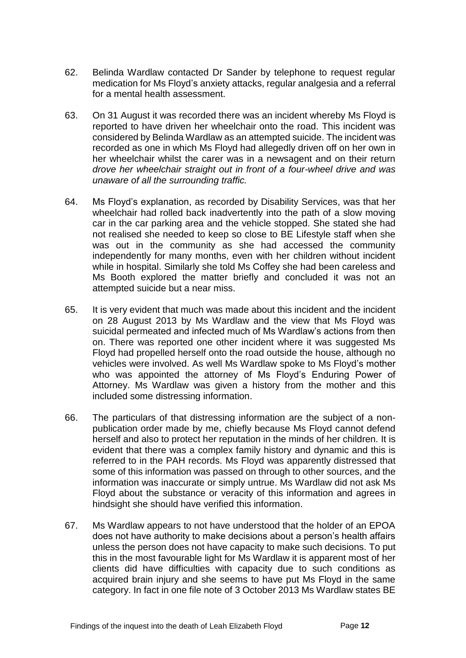- 62. Belinda Wardlaw contacted Dr Sander by telephone to request regular medication for Ms Floyd's anxiety attacks, regular analgesia and a referral for a mental health assessment.
- 63. On 31 August it was recorded there was an incident whereby Ms Floyd is reported to have driven her wheelchair onto the road. This incident was considered by Belinda Wardlaw as an attempted suicide. The incident was recorded as one in which Ms Floyd had allegedly driven off on her own in her wheelchair whilst the carer was in a newsagent and on their return *drove her wheelchair straight out in front of a four-wheel drive and was unaware of all the surrounding traffic.*
- 64. Ms Floyd's explanation, as recorded by Disability Services, was that her wheelchair had rolled back inadvertently into the path of a slow moving car in the car parking area and the vehicle stopped. She stated she had not realised she needed to keep so close to BE Lifestyle staff when she was out in the community as she had accessed the community independently for many months, even with her children without incident while in hospital. Similarly she told Ms Coffey she had been careless and Ms Booth explored the matter briefly and concluded it was not an attempted suicide but a near miss.
- 65. It is very evident that much was made about this incident and the incident on 28 August 2013 by Ms Wardlaw and the view that Ms Floyd was suicidal permeated and infected much of Ms Wardlaw's actions from then on. There was reported one other incident where it was suggested Ms Floyd had propelled herself onto the road outside the house, although no vehicles were involved. As well Ms Wardlaw spoke to Ms Floyd's mother who was appointed the attorney of Ms Floyd's Enduring Power of Attorney. Ms Wardlaw was given a history from the mother and this included some distressing information.
- 66. The particulars of that distressing information are the subject of a nonpublication order made by me, chiefly because Ms Floyd cannot defend herself and also to protect her reputation in the minds of her children. It is evident that there was a complex family history and dynamic and this is referred to in the PAH records. Ms Floyd was apparently distressed that some of this information was passed on through to other sources, and the information was inaccurate or simply untrue. Ms Wardlaw did not ask Ms Floyd about the substance or veracity of this information and agrees in hindsight she should have verified this information.
- 67. Ms Wardlaw appears to not have understood that the holder of an EPOA does not have authority to make decisions about a person's health affairs unless the person does not have capacity to make such decisions. To put this in the most favourable light for Ms Wardlaw it is apparent most of her clients did have difficulties with capacity due to such conditions as acquired brain injury and she seems to have put Ms Floyd in the same category. In fact in one file note of 3 October 2013 Ms Wardlaw states BE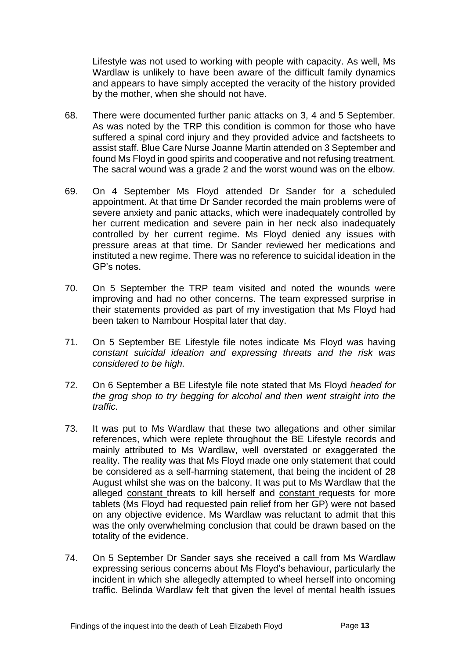Lifestyle was not used to working with people with capacity. As well, Ms Wardlaw is unlikely to have been aware of the difficult family dynamics and appears to have simply accepted the veracity of the history provided by the mother, when she should not have.

- 68. There were documented further panic attacks on 3, 4 and 5 September. As was noted by the TRP this condition is common for those who have suffered a spinal cord injury and they provided advice and factsheets to assist staff. Blue Care Nurse Joanne Martin attended on 3 September and found Ms Floyd in good spirits and cooperative and not refusing treatment. The sacral wound was a grade 2 and the worst wound was on the elbow.
- 69. On 4 September Ms Floyd attended Dr Sander for a scheduled appointment. At that time Dr Sander recorded the main problems were of severe anxiety and panic attacks, which were inadequately controlled by her current medication and severe pain in her neck also inadequately controlled by her current regime. Ms Floyd denied any issues with pressure areas at that time. Dr Sander reviewed her medications and instituted a new regime. There was no reference to suicidal ideation in the GP's notes.
- 70. On 5 September the TRP team visited and noted the wounds were improving and had no other concerns. The team expressed surprise in their statements provided as part of my investigation that Ms Floyd had been taken to Nambour Hospital later that day.
- 71. On 5 September BE Lifestyle file notes indicate Ms Floyd was having *constant suicidal ideation and expressing threats and the risk was considered to be high.*
- 72. On 6 September a BE Lifestyle file note stated that Ms Floyd *headed for the grog shop to try begging for alcohol and then went straight into the traffic.*
- 73. It was put to Ms Wardlaw that these two allegations and other similar references, which were replete throughout the BE Lifestyle records and mainly attributed to Ms Wardlaw, well overstated or exaggerated the reality. The reality was that Ms Floyd made one only statement that could be considered as a self-harming statement, that being the incident of 28 August whilst she was on the balcony. It was put to Ms Wardlaw that the alleged constant threats to kill herself and constant requests for more tablets (Ms Floyd had requested pain relief from her GP) were not based on any objective evidence. Ms Wardlaw was reluctant to admit that this was the only overwhelming conclusion that could be drawn based on the totality of the evidence.
- 74. On 5 September Dr Sander says she received a call from Ms Wardlaw expressing serious concerns about Ms Floyd's behaviour, particularly the incident in which she allegedly attempted to wheel herself into oncoming traffic. Belinda Wardlaw felt that given the level of mental health issues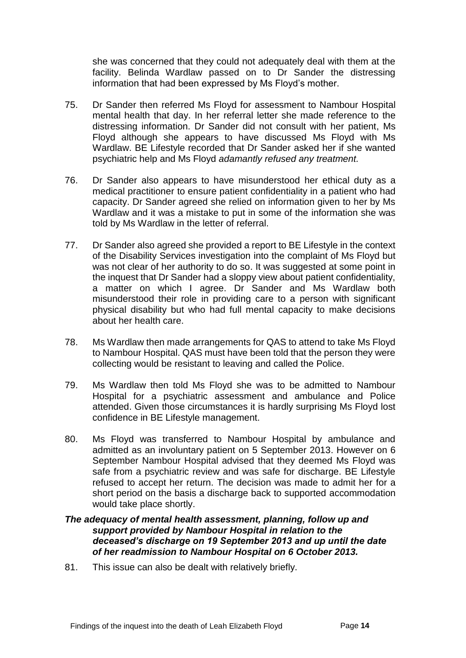she was concerned that they could not adequately deal with them at the facility. Belinda Wardlaw passed on to Dr Sander the distressing information that had been expressed by Ms Floyd's mother.

- 75. Dr Sander then referred Ms Floyd for assessment to Nambour Hospital mental health that day. In her referral letter she made reference to the distressing information. Dr Sander did not consult with her patient, Ms Floyd although she appears to have discussed Ms Floyd with Ms Wardlaw. BE Lifestyle recorded that Dr Sander asked her if she wanted psychiatric help and Ms Floyd *adamantly refused any treatment.*
- 76. Dr Sander also appears to have misunderstood her ethical duty as a medical practitioner to ensure patient confidentiality in a patient who had capacity. Dr Sander agreed she relied on information given to her by Ms Wardlaw and it was a mistake to put in some of the information she was told by Ms Wardlaw in the letter of referral.
- 77. Dr Sander also agreed she provided a report to BE Lifestyle in the context of the Disability Services investigation into the complaint of Ms Floyd but was not clear of her authority to do so. It was suggested at some point in the inquest that Dr Sander had a sloppy view about patient confidentiality, a matter on which I agree. Dr Sander and Ms Wardlaw both misunderstood their role in providing care to a person with significant physical disability but who had full mental capacity to make decisions about her health care.
- 78. Ms Wardlaw then made arrangements for QAS to attend to take Ms Floyd to Nambour Hospital. QAS must have been told that the person they were collecting would be resistant to leaving and called the Police.
- 79. Ms Wardlaw then told Ms Floyd she was to be admitted to Nambour Hospital for a psychiatric assessment and ambulance and Police attended. Given those circumstances it is hardly surprising Ms Floyd lost confidence in BE Lifestyle management.
- 80. Ms Floyd was transferred to Nambour Hospital by ambulance and admitted as an involuntary patient on 5 September 2013. However on 6 September Nambour Hospital advised that they deemed Ms Floyd was safe from a psychiatric review and was safe for discharge. BE Lifestyle refused to accept her return. The decision was made to admit her for a short period on the basis a discharge back to supported accommodation would take place shortly.

#### <span id="page-15-0"></span>*The adequacy of mental health assessment, planning, follow up and support provided by Nambour Hospital in relation to the deceased's discharge on 19 September 2013 and up until the date of her readmission to Nambour Hospital on 6 October 2013.*

81. This issue can also be dealt with relatively briefly.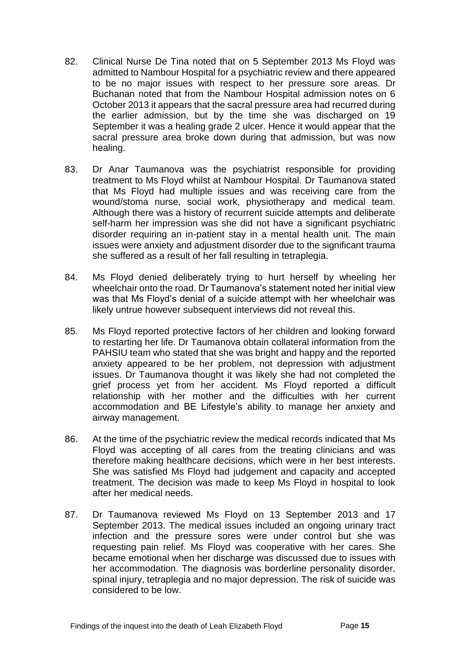- 82. Clinical Nurse De Tina noted that on 5 September 2013 Ms Floyd was admitted to Nambour Hospital for a psychiatric review and there appeared to be no major issues with respect to her pressure sore areas. Dr Buchanan noted that from the Nambour Hospital admission notes on 6 October 2013 it appears that the sacral pressure area had recurred during the earlier admission, but by the time she was discharged on 19 September it was a healing grade 2 ulcer. Hence it would appear that the sacral pressure area broke down during that admission, but was now healing.
- 83. Dr Anar Taumanova was the psychiatrist responsible for providing treatment to Ms Floyd whilst at Nambour Hospital. Dr Taumanova stated that Ms Floyd had multiple issues and was receiving care from the wound/stoma nurse, social work, physiotherapy and medical team. Although there was a history of recurrent suicide attempts and deliberate self-harm her impression was she did not have a significant psychiatric disorder requiring an in-patient stay in a mental health unit. The main issues were anxiety and adjustment disorder due to the significant trauma she suffered as a result of her fall resulting in tetraplegia.
- 84. Ms Floyd denied deliberately trying to hurt herself by wheeling her wheelchair onto the road. Dr Taumanova's statement noted her initial view was that Ms Floyd's denial of a suicide attempt with her wheelchair was likely untrue however subsequent interviews did not reveal this.
- 85. Ms Floyd reported protective factors of her children and looking forward to restarting her life. Dr Taumanova obtain collateral information from the PAHSIU team who stated that she was bright and happy and the reported anxiety appeared to be her problem, not depression with adjustment issues. Dr Taumanova thought it was likely she had not completed the grief process yet from her accident. Ms Floyd reported a difficult relationship with her mother and the difficulties with her current accommodation and BE Lifestyle's ability to manage her anxiety and airway management.
- 86. At the time of the psychiatric review the medical records indicated that Ms Floyd was accepting of all cares from the treating clinicians and was therefore making healthcare decisions, which were in her best interests. She was satisfied Ms Floyd had judgement and capacity and accepted treatment. The decision was made to keep Ms Floyd in hospital to look after her medical needs.
- 87. Dr Taumanova reviewed Ms Floyd on 13 September 2013 and 17 September 2013. The medical issues included an ongoing urinary tract infection and the pressure sores were under control but she was requesting pain relief. Ms Floyd was cooperative with her cares. She became emotional when her discharge was discussed due to issues with her accommodation. The diagnosis was borderline personality disorder, spinal injury, tetraplegia and no major depression. The risk of suicide was considered to be low.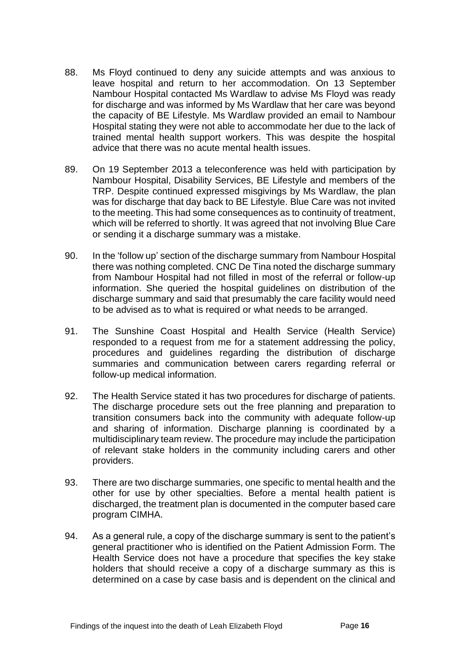- 88. Ms Floyd continued to deny any suicide attempts and was anxious to leave hospital and return to her accommodation. On 13 September Nambour Hospital contacted Ms Wardlaw to advise Ms Floyd was ready for discharge and was informed by Ms Wardlaw that her care was beyond the capacity of BE Lifestyle. Ms Wardlaw provided an email to Nambour Hospital stating they were not able to accommodate her due to the lack of trained mental health support workers. This was despite the hospital advice that there was no acute mental health issues.
- 89. On 19 September 2013 a teleconference was held with participation by Nambour Hospital, Disability Services, BE Lifestyle and members of the TRP. Despite continued expressed misgivings by Ms Wardlaw, the plan was for discharge that day back to BE Lifestyle. Blue Care was not invited to the meeting. This had some consequences as to continuity of treatment, which will be referred to shortly. It was agreed that not involving Blue Care or sending it a discharge summary was a mistake.
- 90. In the 'follow up' section of the discharge summary from Nambour Hospital there was nothing completed. CNC De Tina noted the discharge summary from Nambour Hospital had not filled in most of the referral or follow-up information. She queried the hospital guidelines on distribution of the discharge summary and said that presumably the care facility would need to be advised as to what is required or what needs to be arranged.
- 91. The Sunshine Coast Hospital and Health Service (Health Service) responded to a request from me for a statement addressing the policy, procedures and guidelines regarding the distribution of discharge summaries and communication between carers regarding referral or follow-up medical information.
- 92. The Health Service stated it has two procedures for discharge of patients. The discharge procedure sets out the free planning and preparation to transition consumers back into the community with adequate follow-up and sharing of information. Discharge planning is coordinated by a multidisciplinary team review. The procedure may include the participation of relevant stake holders in the community including carers and other providers.
- 93. There are two discharge summaries, one specific to mental health and the other for use by other specialties. Before a mental health patient is discharged, the treatment plan is documented in the computer based care program CIMHA.
- 94. As a general rule, a copy of the discharge summary is sent to the patient's general practitioner who is identified on the Patient Admission Form. The Health Service does not have a procedure that specifies the key stake holders that should receive a copy of a discharge summary as this is determined on a case by case basis and is dependent on the clinical and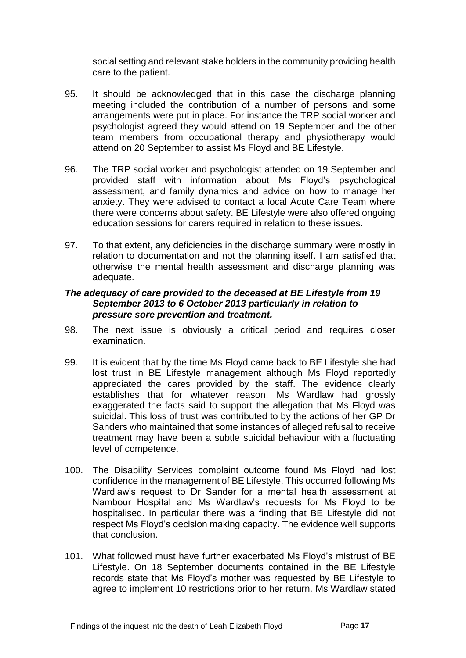social setting and relevant stake holders in the community providing health care to the patient.

- 95. It should be acknowledged that in this case the discharge planning meeting included the contribution of a number of persons and some arrangements were put in place. For instance the TRP social worker and psychologist agreed they would attend on 19 September and the other team members from occupational therapy and physiotherapy would attend on 20 September to assist Ms Floyd and BE Lifestyle.
- 96. The TRP social worker and psychologist attended on 19 September and provided staff with information about Ms Floyd's psychological assessment, and family dynamics and advice on how to manage her anxiety. They were advised to contact a local Acute Care Team where there were concerns about safety. BE Lifestyle were also offered ongoing education sessions for carers required in relation to these issues.
- 97. To that extent, any deficiencies in the discharge summary were mostly in relation to documentation and not the planning itself. I am satisfied that otherwise the mental health assessment and discharge planning was adequate.

#### *The adequacy of care provided to the deceased at BE Lifestyle from 19 September 2013 to 6 October 2013 particularly in relation to pressure sore prevention and treatment.*

- 98. The next issue is obviously a critical period and requires closer examination.
- 99. It is evident that by the time Ms Floyd came back to BE Lifestyle she had lost trust in BE Lifestyle management although Ms Floyd reportedly appreciated the cares provided by the staff. The evidence clearly establishes that for whatever reason, Ms Wardlaw had grossly exaggerated the facts said to support the allegation that Ms Floyd was suicidal. This loss of trust was contributed to by the actions of her GP Dr Sanders who maintained that some instances of alleged refusal to receive treatment may have been a subtle suicidal behaviour with a fluctuating level of competence.
- 100. The Disability Services complaint outcome found Ms Floyd had lost confidence in the management of BE Lifestyle. This occurred following Ms Wardlaw's request to Dr Sander for a mental health assessment at Nambour Hospital and Ms Wardlaw's requests for Ms Floyd to be hospitalised. In particular there was a finding that BE Lifestyle did not respect Ms Floyd's decision making capacity. The evidence well supports that conclusion.
- 101. What followed must have further exacerbated Ms Floyd's mistrust of BE Lifestyle. On 18 September documents contained in the BE Lifestyle records state that Ms Floyd's mother was requested by BE Lifestyle to agree to implement 10 restrictions prior to her return. Ms Wardlaw stated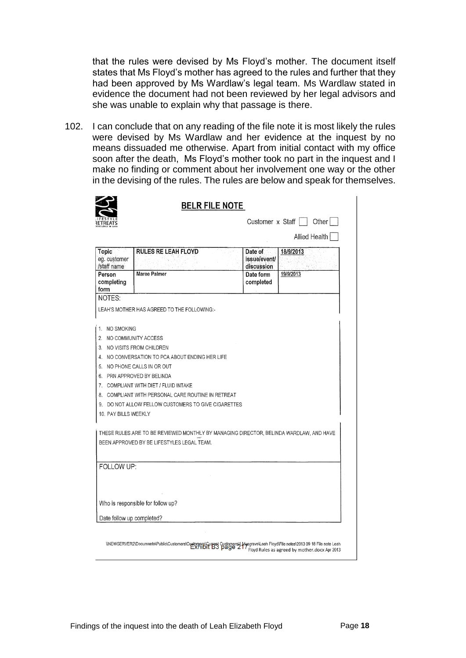that the rules were devised by Ms Floyd's mother. The document itself states that Ms Floyd's mother has agreed to the rules and further that they had been approved by Ms Wardlaw's legal team. Ms Wardlaw stated in evidence the document had not been reviewed by her legal advisors and she was unable to explain why that passage is there.

102. I can conclude that on any reading of the file note it is most likely the rules were devised by Ms Wardlaw and her evidence at the inquest by no means dissuaded me otherwise. Apart from initial contact with my office soon after the death, Ms Floyd's mother took no part in the inquest and I make no finding or comment about her involvement one way or the other in the devising of the rules. The rules are below and speak for themselves.

|                                             | <b>BELR FILE NOTE</b>                                                                                                                                                                               |                                              |               |
|---------------------------------------------|-----------------------------------------------------------------------------------------------------------------------------------------------------------------------------------------------------|----------------------------------------------|---------------|
|                                             |                                                                                                                                                                                                     | Customer $x$ Staff $  $                      | Other         |
|                                             |                                                                                                                                                                                                     |                                              | Allied Health |
| <b>Topic</b><br>eg. customer<br>/staff name | <b>RULES RE LEAH FLOYD</b>                                                                                                                                                                          | Date of<br><i>issue/event/</i><br>discussion | 18/9/2013     |
| Person<br>completing<br>form                | Maree Palmer                                                                                                                                                                                        | Date form<br>completed                       | 19/9/2013     |
| NOTES <sup>.</sup>                          |                                                                                                                                                                                                     |                                              |               |
|                                             | LEAH'S MOTHER HAS AGREED TO THE FOLLOWING:-                                                                                                                                                         |                                              |               |
|                                             |                                                                                                                                                                                                     |                                              |               |
| 1. NO SMOKING                               |                                                                                                                                                                                                     |                                              |               |
| 2.                                          | NO COMMUNITY ACCESS                                                                                                                                                                                 |                                              |               |
|                                             | 3. NO VISITS FROM CHILDREN                                                                                                                                                                          |                                              |               |
|                                             | 4. NO CONVERSATION TO PCA ABOUT ENDING HER LIFE                                                                                                                                                     |                                              |               |
|                                             | 5. NO PHONE CALLS IN OR OUT                                                                                                                                                                         |                                              |               |
|                                             | 6. PRN APPROVED BY BELINDA                                                                                                                                                                          |                                              |               |
|                                             | 7. COMPLIANT WITH DIET / FLUID INTAKE                                                                                                                                                               |                                              |               |
| 8.                                          | COMPLIANT WITH PERSONAL CARE ROUTINE IN RETREAT                                                                                                                                                     |                                              |               |
| 9.                                          | DO NOT ALLOW FELLOW CUSTOMERS TO GIVE CIGARETTES                                                                                                                                                    |                                              |               |
| 10. PAY BILLS WEEKLY                        |                                                                                                                                                                                                     |                                              |               |
|                                             | THESE RULES ARE TO BE REVIEWED MONTHLY BY MANAGING DIRECTOR, BELINDA WARDLAW, AND HAVE<br>BEEN APPROVED BY BE LIFESTYLES LEGAL TEAM.                                                                |                                              |               |
| FOLLOW UP:                                  |                                                                                                                                                                                                     |                                              |               |
|                                             |                                                                                                                                                                                                     |                                              |               |
|                                             |                                                                                                                                                                                                     |                                              |               |
|                                             | Who is responsible for follow up?                                                                                                                                                                   |                                              |               |
| Date follow up completed?                   |                                                                                                                                                                                                     |                                              |               |
|                                             |                                                                                                                                                                                                     |                                              |               |
|                                             | WEWSERVER2\Documents\Public\Customers\Customers\Customers\Customers\1_Musgrave\Leah Floyd\File notes\2013 09 18 File note Leah<br>EXTIDIT B3 Page 217 Floyd Rules as agreed by mother.docx Apr 2013 |                                              |               |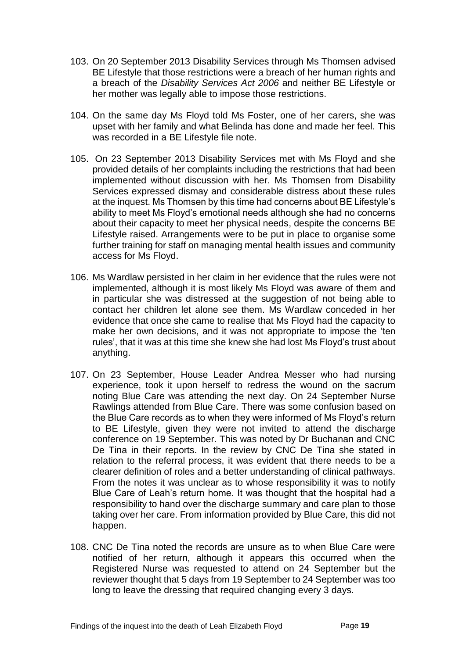- 103. On 20 September 2013 Disability Services through Ms Thomsen advised BE Lifestyle that those restrictions were a breach of her human rights and a breach of the *Disability Services Act 2006* and neither BE Lifestyle or her mother was legally able to impose those restrictions.
- 104. On the same day Ms Floyd told Ms Foster, one of her carers, she was upset with her family and what Belinda has done and made her feel. This was recorded in a BE Lifestyle file note.
- 105. On 23 September 2013 Disability Services met with Ms Floyd and she provided details of her complaints including the restrictions that had been implemented without discussion with her. Ms Thomsen from Disability Services expressed dismay and considerable distress about these rules at the inquest. Ms Thomsen by this time had concerns about BE Lifestyle's ability to meet Ms Floyd's emotional needs although she had no concerns about their capacity to meet her physical needs, despite the concerns BE Lifestyle raised. Arrangements were to be put in place to organise some further training for staff on managing mental health issues and community access for Ms Floyd.
- 106. Ms Wardlaw persisted in her claim in her evidence that the rules were not implemented, although it is most likely Ms Floyd was aware of them and in particular she was distressed at the suggestion of not being able to contact her children let alone see them. Ms Wardlaw conceded in her evidence that once she came to realise that Ms Floyd had the capacity to make her own decisions, and it was not appropriate to impose the 'ten rules', that it was at this time she knew she had lost Ms Floyd's trust about anything.
- 107. On 23 September, House Leader Andrea Messer who had nursing experience, took it upon herself to redress the wound on the sacrum noting Blue Care was attending the next day. On 24 September Nurse Rawlings attended from Blue Care. There was some confusion based on the Blue Care records as to when they were informed of Ms Floyd's return to BE Lifestyle, given they were not invited to attend the discharge conference on 19 September. This was noted by Dr Buchanan and CNC De Tina in their reports. In the review by CNC De Tina she stated in relation to the referral process, it was evident that there needs to be a clearer definition of roles and a better understanding of clinical pathways. From the notes it was unclear as to whose responsibility it was to notify Blue Care of Leah's return home. It was thought that the hospital had a responsibility to hand over the discharge summary and care plan to those taking over her care. From information provided by Blue Care, this did not happen.
- 108. CNC De Tina noted the records are unsure as to when Blue Care were notified of her return, although it appears this occurred when the Registered Nurse was requested to attend on 24 September but the reviewer thought that 5 days from 19 September to 24 September was too long to leave the dressing that required changing every 3 days.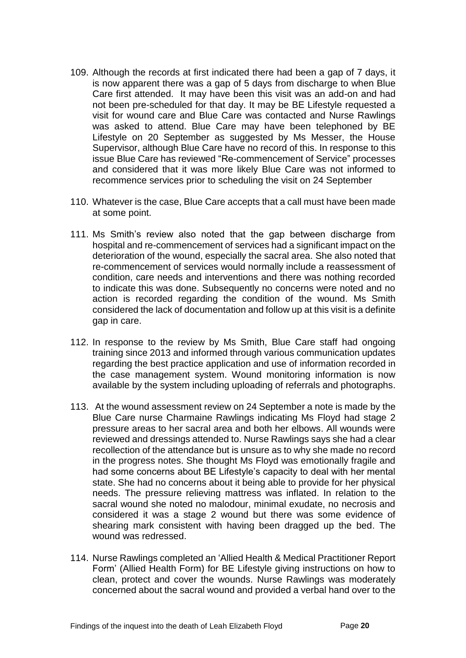- 109. Although the records at first indicated there had been a gap of 7 days, it is now apparent there was a gap of 5 days from discharge to when Blue Care first attended. It may have been this visit was an add-on and had not been pre-scheduled for that day. It may be BE Lifestyle requested a visit for wound care and Blue Care was contacted and Nurse Rawlings was asked to attend. Blue Care may have been telephoned by BE Lifestyle on 20 September as suggested by Ms Messer, the House Supervisor, although Blue Care have no record of this. In response to this issue Blue Care has reviewed "Re-commencement of Service" processes and considered that it was more likely Blue Care was not informed to recommence services prior to scheduling the visit on 24 September
- 110. Whatever is the case, Blue Care accepts that a call must have been made at some point.
- 111. Ms Smith's review also noted that the gap between discharge from hospital and re-commencement of services had a significant impact on the deterioration of the wound, especially the sacral area. She also noted that re-commencement of services would normally include a reassessment of condition, care needs and interventions and there was nothing recorded to indicate this was done. Subsequently no concerns were noted and no action is recorded regarding the condition of the wound. Ms Smith considered the lack of documentation and follow up at this visit is a definite gap in care.
- 112. In response to the review by Ms Smith, Blue Care staff had ongoing training since 2013 and informed through various communication updates regarding the best practice application and use of information recorded in the case management system. Wound monitoring information is now available by the system including uploading of referrals and photographs.
- 113. At the wound assessment review on 24 September a note is made by the Blue Care nurse Charmaine Rawlings indicating Ms Floyd had stage 2 pressure areas to her sacral area and both her elbows. All wounds were reviewed and dressings attended to. Nurse Rawlings says she had a clear recollection of the attendance but is unsure as to why she made no record in the progress notes. She thought Ms Floyd was emotionally fragile and had some concerns about BE Lifestyle's capacity to deal with her mental state. She had no concerns about it being able to provide for her physical needs. The pressure relieving mattress was inflated. In relation to the sacral wound she noted no malodour, minimal exudate, no necrosis and considered it was a stage 2 wound but there was some evidence of shearing mark consistent with having been dragged up the bed. The wound was redressed.
- 114. Nurse Rawlings completed an 'Allied Health & Medical Practitioner Report Form' (Allied Health Form) for BE Lifestyle giving instructions on how to clean, protect and cover the wounds. Nurse Rawlings was moderately concerned about the sacral wound and provided a verbal hand over to the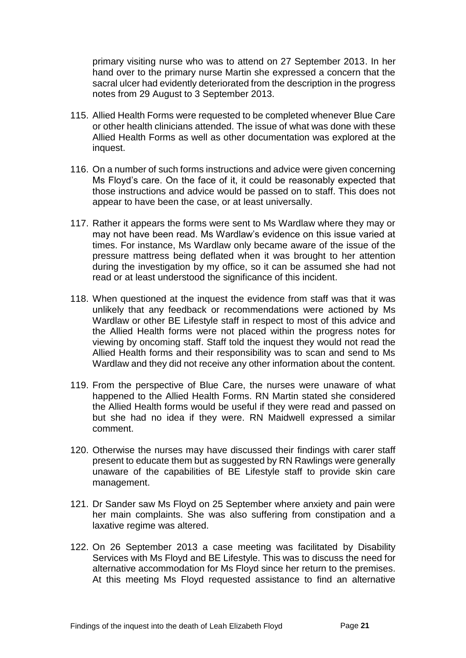primary visiting nurse who was to attend on 27 September 2013. In her hand over to the primary nurse Martin she expressed a concern that the sacral ulcer had evidently deteriorated from the description in the progress notes from 29 August to 3 September 2013.

- 115. Allied Health Forms were requested to be completed whenever Blue Care or other health clinicians attended. The issue of what was done with these Allied Health Forms as well as other documentation was explored at the inquest.
- 116. On a number of such forms instructions and advice were given concerning Ms Floyd's care. On the face of it, it could be reasonably expected that those instructions and advice would be passed on to staff. This does not appear to have been the case, or at least universally.
- 117. Rather it appears the forms were sent to Ms Wardlaw where they may or may not have been read. Ms Wardlaw's evidence on this issue varied at times. For instance, Ms Wardlaw only became aware of the issue of the pressure mattress being deflated when it was brought to her attention during the investigation by my office, so it can be assumed she had not read or at least understood the significance of this incident.
- 118. When questioned at the inquest the evidence from staff was that it was unlikely that any feedback or recommendations were actioned by Ms Wardlaw or other BE Lifestyle staff in respect to most of this advice and the Allied Health forms were not placed within the progress notes for viewing by oncoming staff. Staff told the inquest they would not read the Allied Health forms and their responsibility was to scan and send to Ms Wardlaw and they did not receive any other information about the content.
- 119. From the perspective of Blue Care, the nurses were unaware of what happened to the Allied Health Forms. RN Martin stated she considered the Allied Health forms would be useful if they were read and passed on but she had no idea if they were. RN Maidwell expressed a similar comment.
- 120. Otherwise the nurses may have discussed their findings with carer staff present to educate them but as suggested by RN Rawlings were generally unaware of the capabilities of BE Lifestyle staff to provide skin care management.
- 121. Dr Sander saw Ms Floyd on 25 September where anxiety and pain were her main complaints. She was also suffering from constipation and a laxative regime was altered.
- 122. On 26 September 2013 a case meeting was facilitated by Disability Services with Ms Floyd and BE Lifestyle. This was to discuss the need for alternative accommodation for Ms Floyd since her return to the premises. At this meeting Ms Floyd requested assistance to find an alternative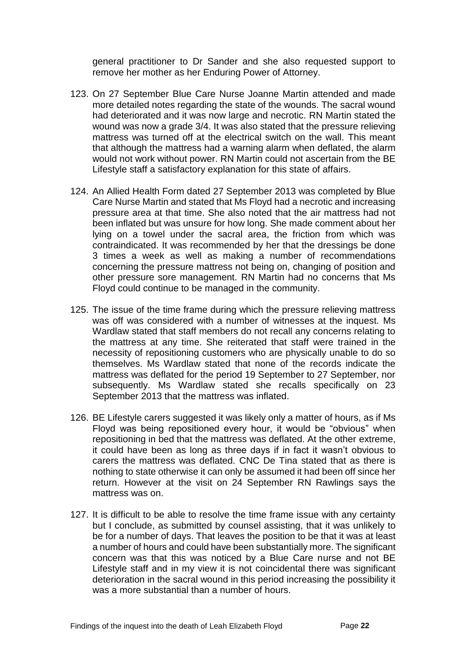general practitioner to Dr Sander and she also requested support to remove her mother as her Enduring Power of Attorney.

- 123. On 27 September Blue Care Nurse Joanne Martin attended and made more detailed notes regarding the state of the wounds. The sacral wound had deteriorated and it was now large and necrotic. RN Martin stated the wound was now a grade 3/4. It was also stated that the pressure relieving mattress was turned off at the electrical switch on the wall. This meant that although the mattress had a warning alarm when deflated, the alarm would not work without power. RN Martin could not ascertain from the BE Lifestyle staff a satisfactory explanation for this state of affairs.
- 124. An Allied Health Form dated 27 September 2013 was completed by Blue Care Nurse Martin and stated that Ms Floyd had a necrotic and increasing pressure area at that time. She also noted that the air mattress had not been inflated but was unsure for how long. She made comment about her lying on a towel under the sacral area, the friction from which was contraindicated. It was recommended by her that the dressings be done 3 times a week as well as making a number of recommendations concerning the pressure mattress not being on, changing of position and other pressure sore management. RN Martin had no concerns that Ms Floyd could continue to be managed in the community.
- 125. The issue of the time frame during which the pressure relieving mattress was off was considered with a number of witnesses at the inquest. Ms Wardlaw stated that staff members do not recall any concerns relating to the mattress at any time. She reiterated that staff were trained in the necessity of repositioning customers who are physically unable to do so themselves. Ms Wardlaw stated that none of the records indicate the mattress was deflated for the period 19 September to 27 September, nor subsequently. Ms Wardlaw stated she recalls specifically on 23 September 2013 that the mattress was inflated.
- 126. BE Lifestyle carers suggested it was likely only a matter of hours, as if Ms Floyd was being repositioned every hour, it would be "obvious" when repositioning in bed that the mattress was deflated. At the other extreme, it could have been as long as three days if in fact it wasn't obvious to carers the mattress was deflated. CNC De Tina stated that as there is nothing to state otherwise it can only be assumed it had been off since her return. However at the visit on 24 September RN Rawlings says the mattress was on.
- 127. It is difficult to be able to resolve the time frame issue with any certainty but I conclude, as submitted by counsel assisting, that it was unlikely to be for a number of days. That leaves the position to be that it was at least a number of hours and could have been substantially more. The significant concern was that this was noticed by a Blue Care nurse and not BE Lifestyle staff and in my view it is not coincidental there was significant deterioration in the sacral wound in this period increasing the possibility it was a more substantial than a number of hours.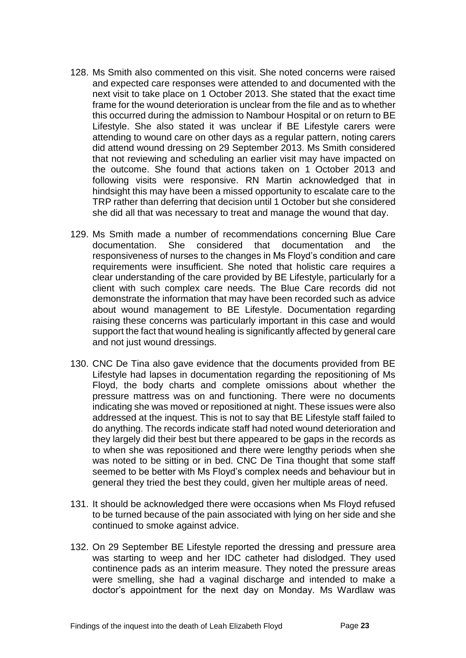- 128. Ms Smith also commented on this visit. She noted concerns were raised and expected care responses were attended to and documented with the next visit to take place on 1 October 2013. She stated that the exact time frame for the wound deterioration is unclear from the file and as to whether this occurred during the admission to Nambour Hospital or on return to BE Lifestyle. She also stated it was unclear if BE Lifestyle carers were attending to wound care on other days as a regular pattern, noting carers did attend wound dressing on 29 September 2013. Ms Smith considered that not reviewing and scheduling an earlier visit may have impacted on the outcome. She found that actions taken on 1 October 2013 and following visits were responsive. RN Martin acknowledged that in hindsight this may have been a missed opportunity to escalate care to the TRP rather than deferring that decision until 1 October but she considered she did all that was necessary to treat and manage the wound that day.
- 129. Ms Smith made a number of recommendations concerning Blue Care documentation. She considered that documentation and the responsiveness of nurses to the changes in Ms Floyd's condition and care requirements were insufficient. She noted that holistic care requires a clear understanding of the care provided by BE Lifestyle, particularly for a client with such complex care needs. The Blue Care records did not demonstrate the information that may have been recorded such as advice about wound management to BE Lifestyle. Documentation regarding raising these concerns was particularly important in this case and would support the fact that wound healing is significantly affected by general care and not just wound dressings.
- 130. CNC De Tina also gave evidence that the documents provided from BE Lifestyle had lapses in documentation regarding the repositioning of Ms Floyd, the body charts and complete omissions about whether the pressure mattress was on and functioning. There were no documents indicating she was moved or repositioned at night. These issues were also addressed at the inquest. This is not to say that BE Lifestyle staff failed to do anything. The records indicate staff had noted wound deterioration and they largely did their best but there appeared to be gaps in the records as to when she was repositioned and there were lengthy periods when she was noted to be sitting or in bed. CNC De Tina thought that some staff seemed to be better with Ms Floyd's complex needs and behaviour but in general they tried the best they could, given her multiple areas of need.
- 131. It should be acknowledged there were occasions when Ms Floyd refused to be turned because of the pain associated with lying on her side and she continued to smoke against advice.
- 132. On 29 September BE Lifestyle reported the dressing and pressure area was starting to weep and her IDC catheter had dislodged. They used continence pads as an interim measure. They noted the pressure areas were smelling, she had a vaginal discharge and intended to make a doctor's appointment for the next day on Monday. Ms Wardlaw was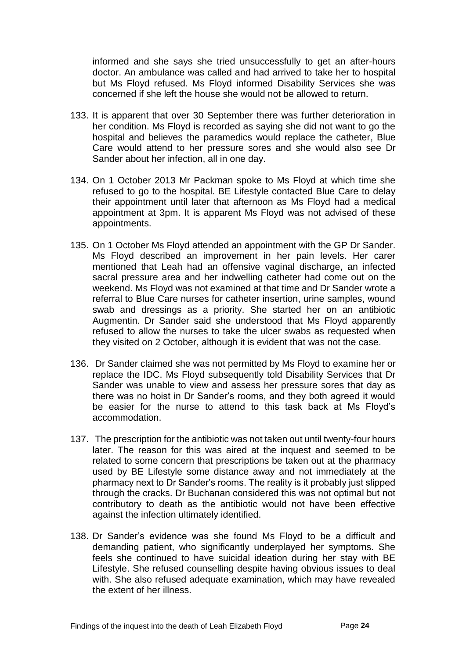informed and she says she tried unsuccessfully to get an after-hours doctor. An ambulance was called and had arrived to take her to hospital but Ms Floyd refused. Ms Floyd informed Disability Services she was concerned if she left the house she would not be allowed to return.

- 133. It is apparent that over 30 September there was further deterioration in her condition. Ms Floyd is recorded as saying she did not want to go the hospital and believes the paramedics would replace the catheter, Blue Care would attend to her pressure sores and she would also see Dr Sander about her infection, all in one day.
- 134. On 1 October 2013 Mr Packman spoke to Ms Floyd at which time she refused to go to the hospital. BE Lifestyle contacted Blue Care to delay their appointment until later that afternoon as Ms Floyd had a medical appointment at 3pm. It is apparent Ms Floyd was not advised of these appointments.
- 135. On 1 October Ms Floyd attended an appointment with the GP Dr Sander. Ms Floyd described an improvement in her pain levels. Her carer mentioned that Leah had an offensive vaginal discharge, an infected sacral pressure area and her indwelling catheter had come out on the weekend. Ms Floyd was not examined at that time and Dr Sander wrote a referral to Blue Care nurses for catheter insertion, urine samples, wound swab and dressings as a priority. She started her on an antibiotic Augmentin. Dr Sander said she understood that Ms Floyd apparently refused to allow the nurses to take the ulcer swabs as requested when they visited on 2 October, although it is evident that was not the case.
- 136. Dr Sander claimed she was not permitted by Ms Floyd to examine her or replace the IDC. Ms Floyd subsequently told Disability Services that Dr Sander was unable to view and assess her pressure sores that day as there was no hoist in Dr Sander's rooms, and they both agreed it would be easier for the nurse to attend to this task back at Ms Floyd's accommodation.
- 137. The prescription for the antibiotic was not taken out until twenty-four hours later. The reason for this was aired at the inquest and seemed to be related to some concern that prescriptions be taken out at the pharmacy used by BE Lifestyle some distance away and not immediately at the pharmacy next to Dr Sander's rooms. The reality is it probably just slipped through the cracks. Dr Buchanan considered this was not optimal but not contributory to death as the antibiotic would not have been effective against the infection ultimately identified.
- 138. Dr Sander's evidence was she found Ms Floyd to be a difficult and demanding patient, who significantly underplayed her symptoms. She feels she continued to have suicidal ideation during her stay with BE Lifestyle. She refused counselling despite having obvious issues to deal with. She also refused adequate examination, which may have revealed the extent of her illness.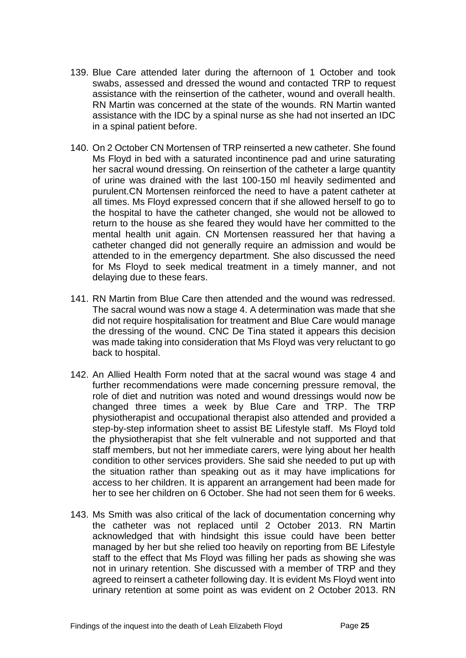- 139. Blue Care attended later during the afternoon of 1 October and took swabs, assessed and dressed the wound and contacted TRP to request assistance with the reinsertion of the catheter, wound and overall health. RN Martin was concerned at the state of the wounds. RN Martin wanted assistance with the IDC by a spinal nurse as she had not inserted an IDC in a spinal patient before.
- 140. On 2 October CN Mortensen of TRP reinserted a new catheter. She found Ms Floyd in bed with a saturated incontinence pad and urine saturating her sacral wound dressing. On reinsertion of the catheter a large quantity of urine was drained with the last 100-150 ml heavily sedimented and purulent.CN Mortensen reinforced the need to have a patent catheter at all times. Ms Floyd expressed concern that if she allowed herself to go to the hospital to have the catheter changed, she would not be allowed to return to the house as she feared they would have her committed to the mental health unit again. CN Mortensen reassured her that having a catheter changed did not generally require an admission and would be attended to in the emergency department. She also discussed the need for Ms Floyd to seek medical treatment in a timely manner, and not delaying due to these fears.
- 141. RN Martin from Blue Care then attended and the wound was redressed. The sacral wound was now a stage 4. A determination was made that she did not require hospitalisation for treatment and Blue Care would manage the dressing of the wound. CNC De Tina stated it appears this decision was made taking into consideration that Ms Floyd was very reluctant to go back to hospital.
- 142. An Allied Health Form noted that at the sacral wound was stage 4 and further recommendations were made concerning pressure removal, the role of diet and nutrition was noted and wound dressings would now be changed three times a week by Blue Care and TRP. The TRP physiotherapist and occupational therapist also attended and provided a step-by-step information sheet to assist BE Lifestyle staff. Ms Floyd told the physiotherapist that she felt vulnerable and not supported and that staff members, but not her immediate carers, were lying about her health condition to other services providers. She said she needed to put up with the situation rather than speaking out as it may have implications for access to her children. It is apparent an arrangement had been made for her to see her children on 6 October. She had not seen them for 6 weeks.
- 143. Ms Smith was also critical of the lack of documentation concerning why the catheter was not replaced until 2 October 2013. RN Martin acknowledged that with hindsight this issue could have been better managed by her but she relied too heavily on reporting from BE Lifestyle staff to the effect that Ms Floyd was filling her pads as showing she was not in urinary retention. She discussed with a member of TRP and they agreed to reinsert a catheter following day. It is evident Ms Floyd went into urinary retention at some point as was evident on 2 October 2013. RN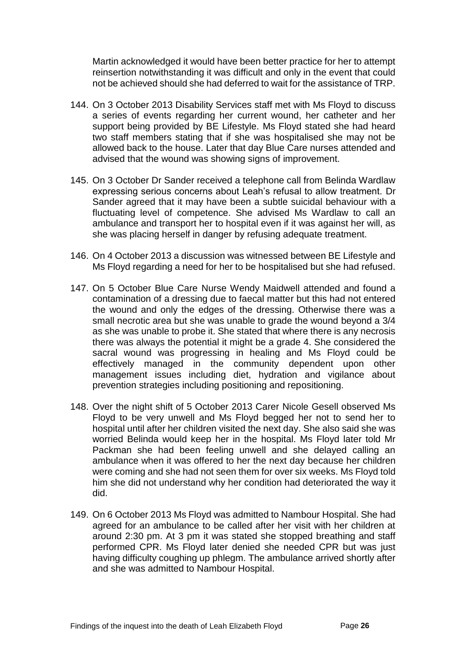Martin acknowledged it would have been better practice for her to attempt reinsertion notwithstanding it was difficult and only in the event that could not be achieved should she had deferred to wait for the assistance of TRP.

- 144. On 3 October 2013 Disability Services staff met with Ms Floyd to discuss a series of events regarding her current wound, her catheter and her support being provided by BE Lifestyle. Ms Floyd stated she had heard two staff members stating that if she was hospitalised she may not be allowed back to the house. Later that day Blue Care nurses attended and advised that the wound was showing signs of improvement.
- 145. On 3 October Dr Sander received a telephone call from Belinda Wardlaw expressing serious concerns about Leah's refusal to allow treatment. Dr Sander agreed that it may have been a subtle suicidal behaviour with a fluctuating level of competence. She advised Ms Wardlaw to call an ambulance and transport her to hospital even if it was against her will, as she was placing herself in danger by refusing adequate treatment.
- 146. On 4 October 2013 a discussion was witnessed between BE Lifestyle and Ms Floyd regarding a need for her to be hospitalised but she had refused.
- 147. On 5 October Blue Care Nurse Wendy Maidwell attended and found a contamination of a dressing due to faecal matter but this had not entered the wound and only the edges of the dressing. Otherwise there was a small necrotic area but she was unable to grade the wound beyond a 3/4 as she was unable to probe it. She stated that where there is any necrosis there was always the potential it might be a grade 4. She considered the sacral wound was progressing in healing and Ms Floyd could be effectively managed in the community dependent upon other management issues including diet, hydration and vigilance about prevention strategies including positioning and repositioning.
- 148. Over the night shift of 5 October 2013 Carer Nicole Gesell observed Ms Floyd to be very unwell and Ms Floyd begged her not to send her to hospital until after her children visited the next day. She also said she was worried Belinda would keep her in the hospital. Ms Floyd later told Mr Packman she had been feeling unwell and she delayed calling an ambulance when it was offered to her the next day because her children were coming and she had not seen them for over six weeks. Ms Floyd told him she did not understand why her condition had deteriorated the way it did.
- 149. On 6 October 2013 Ms Floyd was admitted to Nambour Hospital. She had agreed for an ambulance to be called after her visit with her children at around 2:30 pm. At 3 pm it was stated she stopped breathing and staff performed CPR. Ms Floyd later denied she needed CPR but was just having difficulty coughing up phlegm. The ambulance arrived shortly after and she was admitted to Nambour Hospital.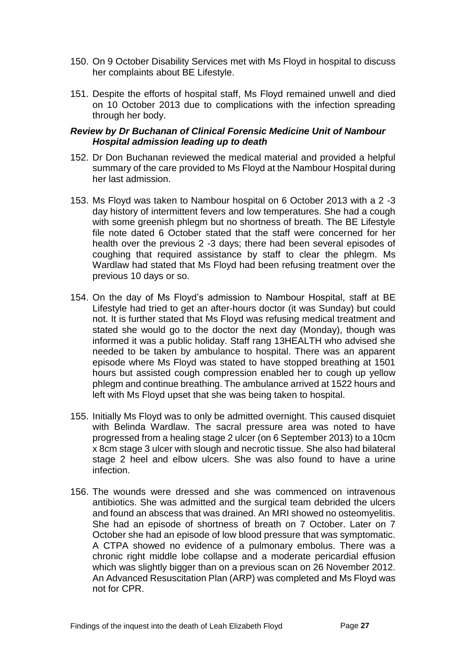- 150. On 9 October Disability Services met with Ms Floyd in hospital to discuss her complaints about BE Lifestyle.
- 151. Despite the efforts of hospital staff, Ms Floyd remained unwell and died on 10 October 2013 due to complications with the infection spreading through her body.

#### <span id="page-28-0"></span>*Review by Dr Buchanan of Clinical Forensic Medicine Unit of Nambour Hospital admission leading up to death*

- 152. Dr Don Buchanan reviewed the medical material and provided a helpful summary of the care provided to Ms Floyd at the Nambour Hospital during her last admission.
- 153. Ms Floyd was taken to Nambour hospital on 6 October 2013 with a 2 -3 day history of intermittent fevers and low temperatures. She had a cough with some greenish phlegm but no shortness of breath. The BE Lifestyle file note dated 6 October stated that the staff were concerned for her health over the previous 2 -3 days; there had been several episodes of coughing that required assistance by staff to clear the phlegm. Ms Wardlaw had stated that Ms Floyd had been refusing treatment over the previous 10 days or so.
- 154. On the day of Ms Floyd's admission to Nambour Hospital, staff at BE Lifestyle had tried to get an after-hours doctor (it was Sunday) but could not. It is further stated that Ms Floyd was refusing medical treatment and stated she would go to the doctor the next day (Monday), though was informed it was a public holiday. Staff rang 13HEALTH who advised she needed to be taken by ambulance to hospital. There was an apparent episode where Ms Floyd was stated to have stopped breathing at 1501 hours but assisted cough compression enabled her to cough up yellow phlegm and continue breathing. The ambulance arrived at 1522 hours and left with Ms Floyd upset that she was being taken to hospital.
- 155. Initially Ms Floyd was to only be admitted overnight. This caused disquiet with Belinda Wardlaw. The sacral pressure area was noted to have progressed from a healing stage 2 ulcer (on 6 September 2013) to a 10cm x 8cm stage 3 ulcer with slough and necrotic tissue. She also had bilateral stage 2 heel and elbow ulcers. She was also found to have a urine infection.
- 156. The wounds were dressed and she was commenced on intravenous antibiotics. She was admitted and the surgical team debrided the ulcers and found an abscess that was drained. An MRI showed no osteomyelitis. She had an episode of shortness of breath on 7 October. Later on 7 October she had an episode of low blood pressure that was symptomatic. A CTPA showed no evidence of a pulmonary embolus. There was a chronic right middle lobe collapse and a moderate pericardial effusion which was slightly bigger than on a previous scan on 26 November 2012. An Advanced Resuscitation Plan (ARP) was completed and Ms Floyd was not for CPR.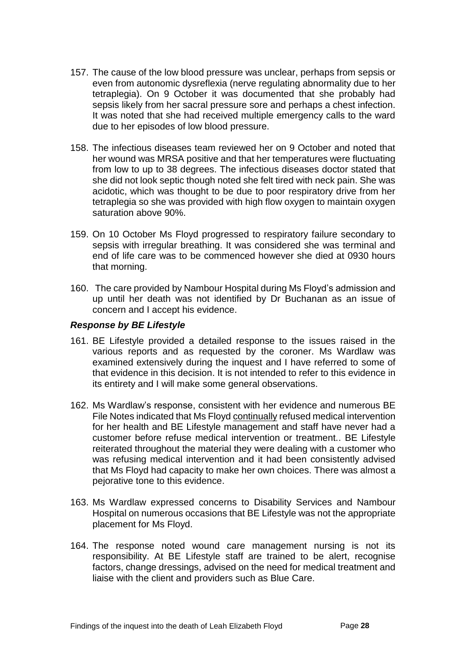- 157. The cause of the low blood pressure was unclear, perhaps from sepsis or even from autonomic dysreflexia (nerve regulating abnormality due to her tetraplegia). On 9 October it was documented that she probably had sepsis likely from her sacral pressure sore and perhaps a chest infection. It was noted that she had received multiple emergency calls to the ward due to her episodes of low blood pressure.
- 158. The infectious diseases team reviewed her on 9 October and noted that her wound was MRSA positive and that her temperatures were fluctuating from low to up to 38 degrees. The infectious diseases doctor stated that she did not look septic though noted she felt tired with neck pain. She was acidotic, which was thought to be due to poor respiratory drive from her tetraplegia so she was provided with high flow oxygen to maintain oxygen saturation above 90%.
- 159. On 10 October Ms Floyd progressed to respiratory failure secondary to sepsis with irregular breathing. It was considered she was terminal and end of life care was to be commenced however she died at 0930 hours that morning.
- 160. The care provided by Nambour Hospital during Ms Floyd's admission and up until her death was not identified by Dr Buchanan as an issue of concern and I accept his evidence.

#### <span id="page-29-0"></span>*Response by BE Lifestyle*

- 161. BE Lifestyle provided a detailed response to the issues raised in the various reports and as requested by the coroner. Ms Wardlaw was examined extensively during the inquest and I have referred to some of that evidence in this decision. It is not intended to refer to this evidence in its entirety and I will make some general observations.
- 162. Ms Wardlaw's response, consistent with her evidence and numerous BE File Notes indicated that Ms Floyd continually refused medical intervention for her health and BE Lifestyle management and staff have never had a customer before refuse medical intervention or treatment.. BE Lifestyle reiterated throughout the material they were dealing with a customer who was refusing medical intervention and it had been consistently advised that Ms Floyd had capacity to make her own choices. There was almost a pejorative tone to this evidence.
- 163. Ms Wardlaw expressed concerns to Disability Services and Nambour Hospital on numerous occasions that BE Lifestyle was not the appropriate placement for Ms Floyd.
- 164. The response noted wound care management nursing is not its responsibility. At BE Lifestyle staff are trained to be alert, recognise factors, change dressings, advised on the need for medical treatment and liaise with the client and providers such as Blue Care.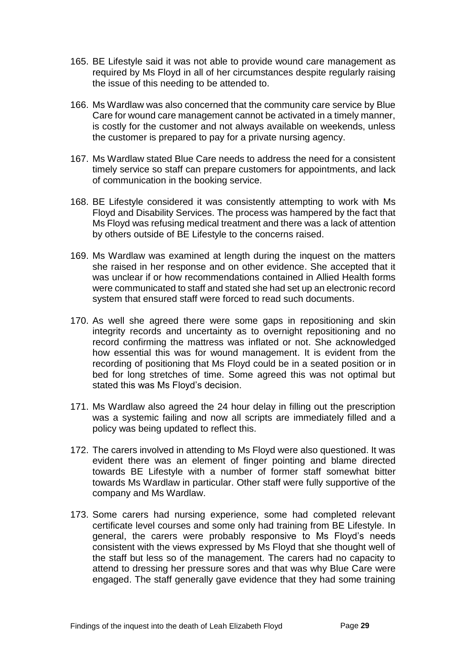- 165. BE Lifestyle said it was not able to provide wound care management as required by Ms Floyd in all of her circumstances despite regularly raising the issue of this needing to be attended to.
- 166. Ms Wardlaw was also concerned that the community care service by Blue Care for wound care management cannot be activated in a timely manner, is costly for the customer and not always available on weekends, unless the customer is prepared to pay for a private nursing agency.
- 167. Ms Wardlaw stated Blue Care needs to address the need for a consistent timely service so staff can prepare customers for appointments, and lack of communication in the booking service.
- 168. BE Lifestyle considered it was consistently attempting to work with Ms Floyd and Disability Services. The process was hampered by the fact that Ms Floyd was refusing medical treatment and there was a lack of attention by others outside of BE Lifestyle to the concerns raised.
- 169. Ms Wardlaw was examined at length during the inquest on the matters she raised in her response and on other evidence. She accepted that it was unclear if or how recommendations contained in Allied Health forms were communicated to staff and stated she had set up an electronic record system that ensured staff were forced to read such documents.
- 170. As well she agreed there were some gaps in repositioning and skin integrity records and uncertainty as to overnight repositioning and no record confirming the mattress was inflated or not. She acknowledged how essential this was for wound management. It is evident from the recording of positioning that Ms Floyd could be in a seated position or in bed for long stretches of time. Some agreed this was not optimal but stated this was Ms Floyd's decision.
- 171. Ms Wardlaw also agreed the 24 hour delay in filling out the prescription was a systemic failing and now all scripts are immediately filled and a policy was being updated to reflect this.
- 172. The carers involved in attending to Ms Floyd were also questioned. It was evident there was an element of finger pointing and blame directed towards BE Lifestyle with a number of former staff somewhat bitter towards Ms Wardlaw in particular. Other staff were fully supportive of the company and Ms Wardlaw.
- 173. Some carers had nursing experience, some had completed relevant certificate level courses and some only had training from BE Lifestyle. In general, the carers were probably responsive to Ms Floyd's needs consistent with the views expressed by Ms Floyd that she thought well of the staff but less so of the management. The carers had no capacity to attend to dressing her pressure sores and that was why Blue Care were engaged. The staff generally gave evidence that they had some training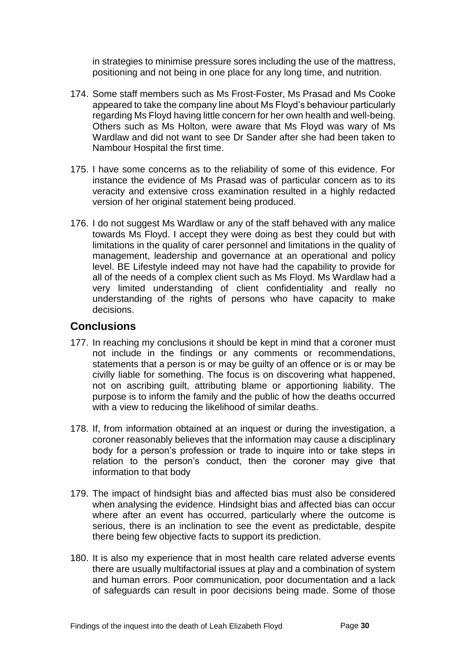in strategies to minimise pressure sores including the use of the mattress, positioning and not being in one place for any long time, and nutrition.

- 174. Some staff members such as Ms Frost-Foster, Ms Prasad and Ms Cooke appeared to take the company line about Ms Floyd's behaviour particularly regarding Ms Floyd having little concern for her own health and well-being. Others such as Ms Holton, were aware that Ms Floyd was wary of Ms Wardlaw and did not want to see Dr Sander after she had been taken to Nambour Hospital the first time.
- 175. I have some concerns as to the reliability of some of this evidence. For instance the evidence of Ms Prasad was of particular concern as to its veracity and extensive cross examination resulted in a highly redacted version of her original statement being produced.
- 176. I do not suggest Ms Wardlaw or any of the staff behaved with any malice towards Ms Floyd. I accept they were doing as best they could but with limitations in the quality of carer personnel and limitations in the quality of management, leadership and governance at an operational and policy level. BE Lifestyle indeed may not have had the capability to provide for all of the needs of a complex client such as Ms Floyd. Ms Wardlaw had a very limited understanding of client confidentiality and really no understanding of the rights of persons who have capacity to make decisions.

### <span id="page-31-0"></span>**Conclusions**

- 177. In reaching my conclusions it should be kept in mind that a coroner must not include in the findings or any comments or recommendations, statements that a person is or may be guilty of an offence or is or may be civilly liable for something. The focus is on discovering what happened, not on ascribing guilt, attributing blame or apportioning liability. The purpose is to inform the family and the public of how the deaths occurred with a view to reducing the likelihood of similar deaths.
- 178. If, from information obtained at an inquest or during the investigation, a coroner reasonably believes that the information may cause a disciplinary body for a person's profession or trade to inquire into or take steps in relation to the person's conduct, then the coroner may give that information to that body
- 179. The impact of hindsight bias and affected bias must also be considered when analysing the evidence. Hindsight bias and affected bias can occur where after an event has occurred, particularly where the outcome is serious, there is an inclination to see the event as predictable, despite there being few objective facts to support its prediction.
- 180. It is also my experience that in most health care related adverse events there are usually multifactorial issues at play and a combination of system and human errors. Poor communication, poor documentation and a lack of safeguards can result in poor decisions being made. Some of those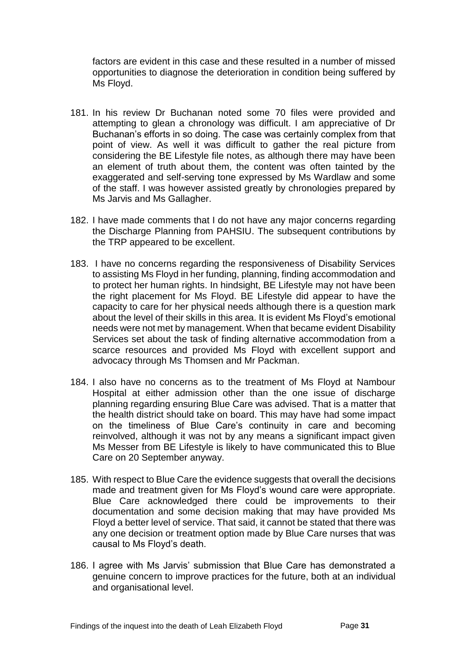factors are evident in this case and these resulted in a number of missed opportunities to diagnose the deterioration in condition being suffered by Ms Floyd.

- 181. In his review Dr Buchanan noted some 70 files were provided and attempting to glean a chronology was difficult. I am appreciative of Dr Buchanan's efforts in so doing. The case was certainly complex from that point of view. As well it was difficult to gather the real picture from considering the BE Lifestyle file notes, as although there may have been an element of truth about them, the content was often tainted by the exaggerated and self-serving tone expressed by Ms Wardlaw and some of the staff. I was however assisted greatly by chronologies prepared by Ms Jarvis and Ms Gallagher.
- 182. I have made comments that I do not have any major concerns regarding the Discharge Planning from PAHSIU. The subsequent contributions by the TRP appeared to be excellent.
- 183. I have no concerns regarding the responsiveness of Disability Services to assisting Ms Floyd in her funding, planning, finding accommodation and to protect her human rights. In hindsight, BE Lifestyle may not have been the right placement for Ms Floyd. BE Lifestyle did appear to have the capacity to care for her physical needs although there is a question mark about the level of their skills in this area. It is evident Ms Floyd's emotional needs were not met by management. When that became evident Disability Services set about the task of finding alternative accommodation from a scarce resources and provided Ms Floyd with excellent support and advocacy through Ms Thomsen and Mr Packman.
- 184. I also have no concerns as to the treatment of Ms Floyd at Nambour Hospital at either admission other than the one issue of discharge planning regarding ensuring Blue Care was advised. That is a matter that the health district should take on board. This may have had some impact on the timeliness of Blue Care's continuity in care and becoming reinvolved, although it was not by any means a significant impact given Ms Messer from BE Lifestyle is likely to have communicated this to Blue Care on 20 September anyway.
- 185. With respect to Blue Care the evidence suggests that overall the decisions made and treatment given for Ms Floyd's wound care were appropriate. Blue Care acknowledged there could be improvements to their documentation and some decision making that may have provided Ms Floyd a better level of service. That said, it cannot be stated that there was any one decision or treatment option made by Blue Care nurses that was causal to Ms Floyd's death.
- 186. I agree with Ms Jarvis' submission that Blue Care has demonstrated a genuine concern to improve practices for the future, both at an individual and organisational level.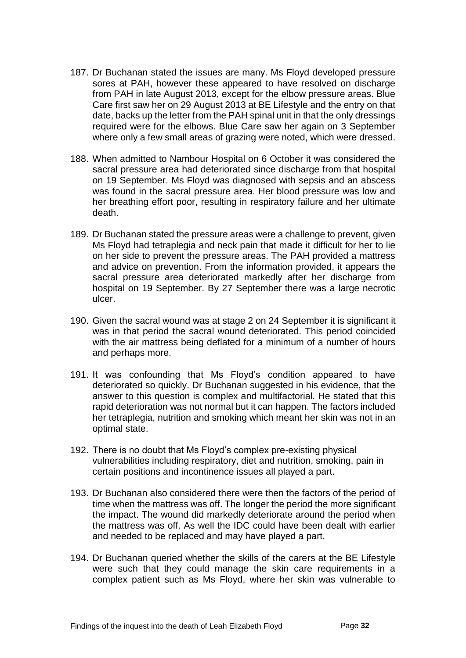- 187. Dr Buchanan stated the issues are many. Ms Floyd developed pressure sores at PAH, however these appeared to have resolved on discharge from PAH in late August 2013, except for the elbow pressure areas. Blue Care first saw her on 29 August 2013 at BE Lifestyle and the entry on that date, backs up the letter from the PAH spinal unit in that the only dressings required were for the elbows. Blue Care saw her again on 3 September where only a few small areas of grazing were noted, which were dressed.
- 188. When admitted to Nambour Hospital on 6 October it was considered the sacral pressure area had deteriorated since discharge from that hospital on 19 September. Ms Floyd was diagnosed with sepsis and an abscess was found in the sacral pressure area. Her blood pressure was low and her breathing effort poor, resulting in respiratory failure and her ultimate death.
- 189. Dr Buchanan stated the pressure areas were a challenge to prevent, given Ms Floyd had tetraplegia and neck pain that made it difficult for her to lie on her side to prevent the pressure areas. The PAH provided a mattress and advice on prevention. From the information provided, it appears the sacral pressure area deteriorated markedly after her discharge from hospital on 19 September. By 27 September there was a large necrotic ulcer.
- 190. Given the sacral wound was at stage 2 on 24 September it is significant it was in that period the sacral wound deteriorated. This period coincided with the air mattress being deflated for a minimum of a number of hours and perhaps more.
- 191. It was confounding that Ms Floyd's condition appeared to have deteriorated so quickly. Dr Buchanan suggested in his evidence, that the answer to this question is complex and multifactorial. He stated that this rapid deterioration was not normal but it can happen. The factors included her tetraplegia, nutrition and smoking which meant her skin was not in an optimal state.
- 192. There is no doubt that Ms Floyd's complex pre-existing physical vulnerabilities including respiratory, diet and nutrition, smoking, pain in certain positions and incontinence issues all played a part.
- 193. Dr Buchanan also considered there were then the factors of the period of time when the mattress was off. The longer the period the more significant the impact. The wound did markedly deteriorate around the period when the mattress was off. As well the IDC could have been dealt with earlier and needed to be replaced and may have played a part.
- 194. Dr Buchanan queried whether the skills of the carers at the BE Lifestyle were such that they could manage the skin care requirements in a complex patient such as Ms Floyd, where her skin was vulnerable to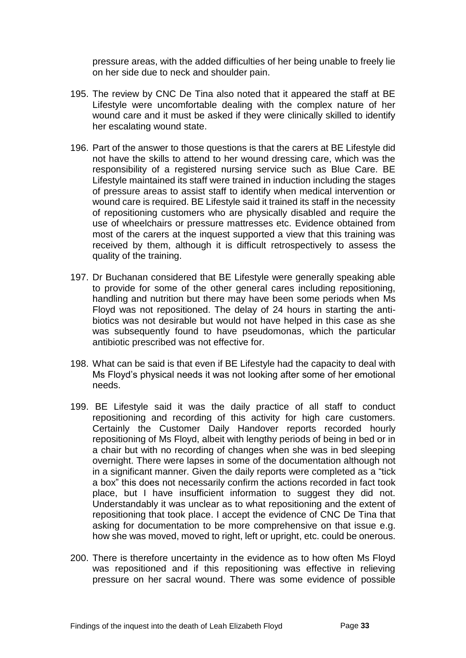pressure areas, with the added difficulties of her being unable to freely lie on her side due to neck and shoulder pain.

- 195. The review by CNC De Tina also noted that it appeared the staff at BE Lifestyle were uncomfortable dealing with the complex nature of her wound care and it must be asked if they were clinically skilled to identify her escalating wound state.
- 196. Part of the answer to those questions is that the carers at BE Lifestyle did not have the skills to attend to her wound dressing care, which was the responsibility of a registered nursing service such as Blue Care. BE Lifestyle maintained its staff were trained in induction including the stages of pressure areas to assist staff to identify when medical intervention or wound care is required. BE Lifestyle said it trained its staff in the necessity of repositioning customers who are physically disabled and require the use of wheelchairs or pressure mattresses etc. Evidence obtained from most of the carers at the inquest supported a view that this training was received by them, although it is difficult retrospectively to assess the quality of the training.
- 197. Dr Buchanan considered that BE Lifestyle were generally speaking able to provide for some of the other general cares including repositioning, handling and nutrition but there may have been some periods when Ms Floyd was not repositioned. The delay of 24 hours in starting the antibiotics was not desirable but would not have helped in this case as she was subsequently found to have pseudomonas, which the particular antibiotic prescribed was not effective for.
- 198. What can be said is that even if BE Lifestyle had the capacity to deal with Ms Floyd's physical needs it was not looking after some of her emotional needs.
- 199. BE Lifestyle said it was the daily practice of all staff to conduct repositioning and recording of this activity for high care customers. Certainly the Customer Daily Handover reports recorded hourly repositioning of Ms Floyd, albeit with lengthy periods of being in bed or in a chair but with no recording of changes when she was in bed sleeping overnight. There were lapses in some of the documentation although not in a significant manner. Given the daily reports were completed as a "tick a box" this does not necessarily confirm the actions recorded in fact took place, but I have insufficient information to suggest they did not. Understandably it was unclear as to what repositioning and the extent of repositioning that took place. I accept the evidence of CNC De Tina that asking for documentation to be more comprehensive on that issue e.g. how she was moved, moved to right, left or upright, etc. could be onerous.
- 200. There is therefore uncertainty in the evidence as to how often Ms Floyd was repositioned and if this repositioning was effective in relieving pressure on her sacral wound. There was some evidence of possible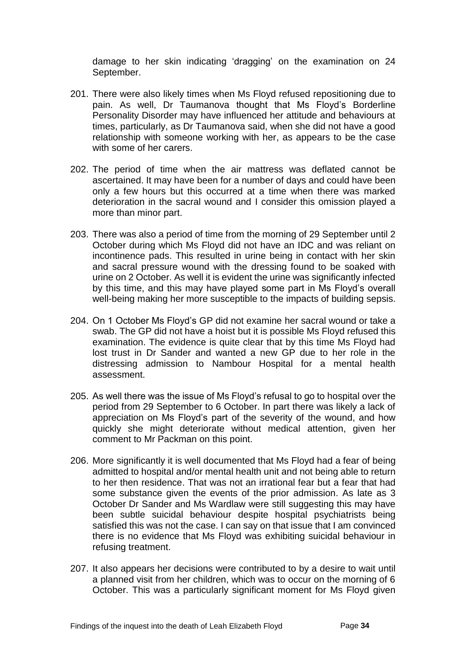damage to her skin indicating 'dragging' on the examination on 24 September.

- 201. There were also likely times when Ms Floyd refused repositioning due to pain. As well, Dr Taumanova thought that Ms Floyd's Borderline Personality Disorder may have influenced her attitude and behaviours at times, particularly, as Dr Taumanova said, when she did not have a good relationship with someone working with her, as appears to be the case with some of her carers.
- 202. The period of time when the air mattress was deflated cannot be ascertained. It may have been for a number of days and could have been only a few hours but this occurred at a time when there was marked deterioration in the sacral wound and I consider this omission played a more than minor part.
- 203. There was also a period of time from the morning of 29 September until 2 October during which Ms Floyd did not have an IDC and was reliant on incontinence pads. This resulted in urine being in contact with her skin and sacral pressure wound with the dressing found to be soaked with urine on 2 October. As well it is evident the urine was significantly infected by this time, and this may have played some part in Ms Floyd's overall well-being making her more susceptible to the impacts of building sepsis.
- 204. On 1 October Ms Floyd's GP did not examine her sacral wound or take a swab. The GP did not have a hoist but it is possible Ms Floyd refused this examination. The evidence is quite clear that by this time Ms Floyd had lost trust in Dr Sander and wanted a new GP due to her role in the distressing admission to Nambour Hospital for a mental health assessment.
- 205. As well there was the issue of Ms Floyd's refusal to go to hospital over the period from 29 September to 6 October. In part there was likely a lack of appreciation on Ms Floyd's part of the severity of the wound, and how quickly she might deteriorate without medical attention, given her comment to Mr Packman on this point.
- 206. More significantly it is well documented that Ms Floyd had a fear of being admitted to hospital and/or mental health unit and not being able to return to her then residence. That was not an irrational fear but a fear that had some substance given the events of the prior admission. As late as 3 October Dr Sander and Ms Wardlaw were still suggesting this may have been subtle suicidal behaviour despite hospital psychiatrists being satisfied this was not the case. I can say on that issue that I am convinced there is no evidence that Ms Floyd was exhibiting suicidal behaviour in refusing treatment.
- 207. It also appears her decisions were contributed to by a desire to wait until a planned visit from her children, which was to occur on the morning of 6 October. This was a particularly significant moment for Ms Floyd given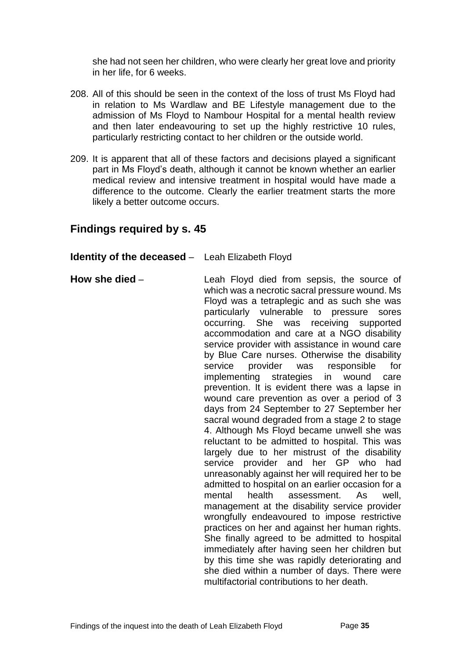she had not seen her children, who were clearly her great love and priority in her life, for 6 weeks.

- 208. All of this should be seen in the context of the loss of trust Ms Floyd had in relation to Ms Wardlaw and BE Lifestyle management due to the admission of Ms Floyd to Nambour Hospital for a mental health review and then later endeavouring to set up the highly restrictive 10 rules, particularly restricting contact to her children or the outside world.
- 209. It is apparent that all of these factors and decisions played a significant part in Ms Floyd's death, although it cannot be known whether an earlier medical review and intensive treatment in hospital would have made a difference to the outcome. Clearly the earlier treatment starts the more likely a better outcome occurs.

## <span id="page-36-0"></span>**Findings required by s. 45**

#### <span id="page-36-1"></span>**Identity of the deceased** – Leah Elizabeth Floyd

<span id="page-36-2"></span>**How she died** – The Leah Floyd died from sepsis, the source of which was a necrotic sacral pressure wound. Ms Floyd was a tetraplegic and as such she was particularly vulnerable to pressure sores occurring. She was receiving supported accommodation and care at a NGO disability service provider with assistance in wound care by Blue Care nurses. Otherwise the disability service provider was responsible for implementing strategies in wound care prevention. It is evident there was a lapse in wound care prevention as over a period of 3 days from 24 September to 27 September her sacral wound degraded from a stage 2 to stage 4. Although Ms Floyd became unwell she was reluctant to be admitted to hospital. This was largely due to her mistrust of the disability service provider and her GP who had unreasonably against her will required her to be admitted to hospital on an earlier occasion for a mental health assessment. As well, management at the disability service provider wrongfully endeavoured to impose restrictive practices on her and against her human rights. She finally agreed to be admitted to hospital immediately after having seen her children but by this time she was rapidly deteriorating and she died within a number of days. There were multifactorial contributions to her death.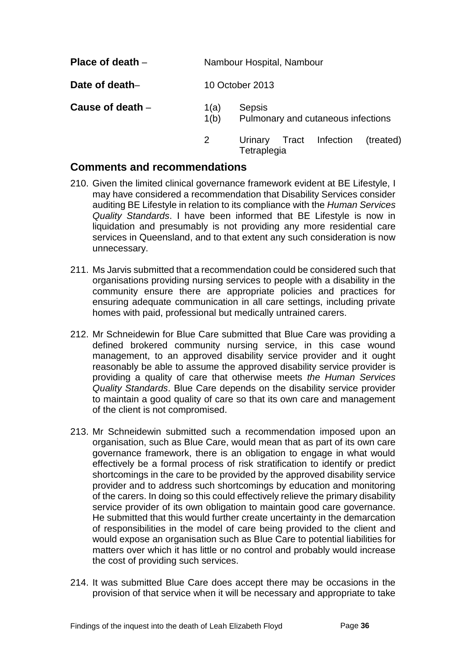<span id="page-37-2"></span><span id="page-37-1"></span><span id="page-37-0"></span>

| Place of death $-$ |                 | Nambour Hospital, Nambour                           |  |  |  |  |
|--------------------|-----------------|-----------------------------------------------------|--|--|--|--|
| Date of death-     | 10 October 2013 |                                                     |  |  |  |  |
| Cause of death -   | 1(a)<br>1(b)    | <b>Sepsis</b><br>Pulmonary and cutaneous infections |  |  |  |  |
|                    |                 | Urinary Tract Infection (treated)                   |  |  |  |  |

**Tetraplegia** 

## <span id="page-37-3"></span>**Comments and recommendations**

- 210. Given the limited clinical governance framework evident at BE Lifestyle, I may have considered a recommendation that Disability Services consider auditing BE Lifestyle in relation to its compliance with the *Human Services Quality Standards*. I have been informed that BE Lifestyle is now in liquidation and presumably is not providing any more residential care services in Queensland, and to that extent any such consideration is now unnecessary.
- 211. Ms Jarvis submitted that a recommendation could be considered such that organisations providing nursing services to people with a disability in the community ensure there are appropriate policies and practices for ensuring adequate communication in all care settings, including private homes with paid, professional but medically untrained carers.
- 212. Mr Schneidewin for Blue Care submitted that Blue Care was providing a defined brokered community nursing service, in this case wound management, to an approved disability service provider and it ought reasonably be able to assume the approved disability service provider is providing a quality of care that otherwise meets *the Human Services Quality Standards*. Blue Care depends on the disability service provider to maintain a good quality of care so that its own care and management of the client is not compromised.
- 213. Mr Schneidewin submitted such a recommendation imposed upon an organisation, such as Blue Care, would mean that as part of its own care governance framework, there is an obligation to engage in what would effectively be a formal process of risk stratification to identify or predict shortcomings in the care to be provided by the approved disability service provider and to address such shortcomings by education and monitoring of the carers. In doing so this could effectively relieve the primary disability service provider of its own obligation to maintain good care governance. He submitted that this would further create uncertainty in the demarcation of responsibilities in the model of care being provided to the client and would expose an organisation such as Blue Care to potential liabilities for matters over which it has little or no control and probably would increase the cost of providing such services.
- 214. It was submitted Blue Care does accept there may be occasions in the provision of that service when it will be necessary and appropriate to take